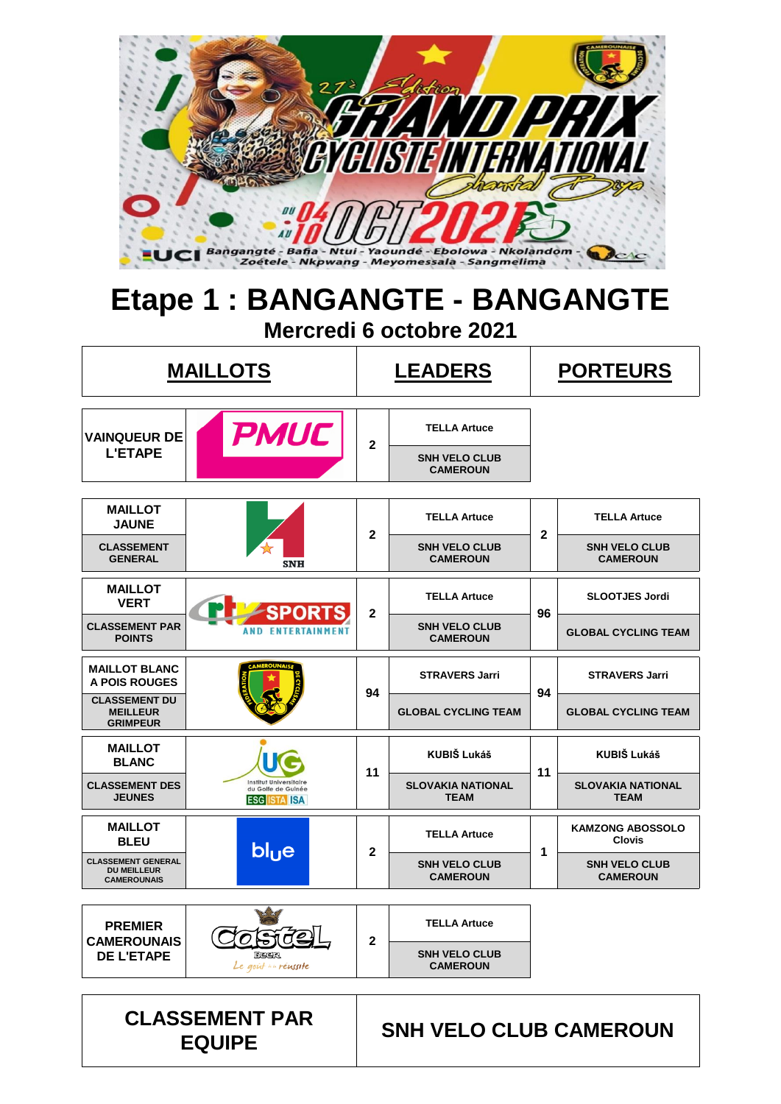

### **Etape 1 : BANGANGTE - BANGANGTE Mercredi 6 octobre 2021**

|                                                                       | <b>MAILLOTS</b>                                                            | <b>LEADERS</b> |                                         |                                         | <b>PORTEURS</b>                          |  |  |
|-----------------------------------------------------------------------|----------------------------------------------------------------------------|----------------|-----------------------------------------|-----------------------------------------|------------------------------------------|--|--|
| <b>VAINQUEUR DE</b>                                                   | <b>PMUC</b>                                                                |                | <b>TELLA Artuce</b>                     |                                         |                                          |  |  |
| <b>L'ETAPE</b>                                                        |                                                                            | $\mathbf{2}$   | <b>SNH VELO CLUB</b><br><b>CAMEROUN</b> |                                         |                                          |  |  |
| <b>MAILLOT</b><br><b>JAUNE</b>                                        |                                                                            |                | <b>TELLA Artuce</b>                     |                                         | <b>TELLA Artuce</b>                      |  |  |
| <b>CLASSEMENT</b><br><b>GENERAL</b>                                   | $\mathbf{2}$<br><b>SNH VELO CLUB</b><br><b>CAMEROUN</b><br><b>SNH</b>      |                | $\mathbf{2}$                            | <b>SNH VELO CLUB</b><br><b>CAMEROUN</b> |                                          |  |  |
| <b>MAILLOT</b><br><b>VERT</b>                                         | SPORT                                                                      | $\mathbf{2}$   | <b>TELLA Artuce</b>                     | 96                                      | <b>SLOOTJES Jordi</b>                    |  |  |
| <b>CLASSEMENT PAR</b><br><b>POINTS</b>                                | <b>AND ENTERTAINMENT</b>                                                   |                | <b>SNH VELO CLUB</b><br><b>CAMEROUN</b> |                                         | <b>GLOBAL CYCLING TEAM</b>               |  |  |
| <b>MAILLOT BLANC</b><br><b>A POIS ROUGES</b>                          |                                                                            | 94             | <b>STRAVERS Jarri</b>                   | 94                                      | <b>STRAVERS Jarri</b>                    |  |  |
| <b>CLASSEMENT DU</b><br><b>MEILLEUR</b><br><b>GRIMPEUR</b>            |                                                                            |                | <b>GLOBAL CYCLING TEAM</b>              |                                         | <b>GLOBAL CYCLING TEAM</b>               |  |  |
| <b>MAILLOT</b><br><b>BLANC</b>                                        |                                                                            | 11             | <b>KUBIŠ Lukáš</b>                      | 11                                      | <b>KUBIŠ Lukáš</b>                       |  |  |
| <b>CLASSEMENT DES</b><br><b>JEUNES</b>                                | <b>Institut Universitaire</b><br>du Golfe de Guinée<br><b>ESG ISTA ISA</b> |                | <b>SLOVAKIA NATIONAL</b><br><b>TEAM</b> |                                         | <b>SLOVAKIA NATIONAL</b><br><b>TEAM</b>  |  |  |
| <b>MAILLOT</b><br><b>BLEU</b>                                         | bl <sub>u</sub> e                                                          | $\mathbf{2}$   | <b>TELLA Artuce</b>                     | 1                                       | <b>KAMZONG ABOSSOLO</b><br><b>Clovis</b> |  |  |
| <b>CLASSEMENT GENERAL</b><br><b>DU MEILLEUR</b><br><b>CAMEROUNAIS</b> |                                                                            |                | <b>SNH VELO CLUB</b><br><b>CAMEROUN</b> |                                         | <b>SNH VELO CLUB</b><br><b>CAMEROUN</b>  |  |  |
| <b>PREMIER</b>                                                        |                                                                            |                | <b>TELLA Artuce</b>                     |                                         |                                          |  |  |
| <b>CAMEROUNAIS</b><br><b>DE L'ETAPE</b>                               | BEER<br>Le goût in réussite                                                | $\mathbf 2$    | <b>SNH VELO CLUB</b><br><b>CAMEROUN</b> |                                         |                                          |  |  |
|                                                                       |                                                                            |                |                                         |                                         |                                          |  |  |

**EQUIPE SNH VELO CLUB CAMEROUN**

**CLASSEMENT PAR**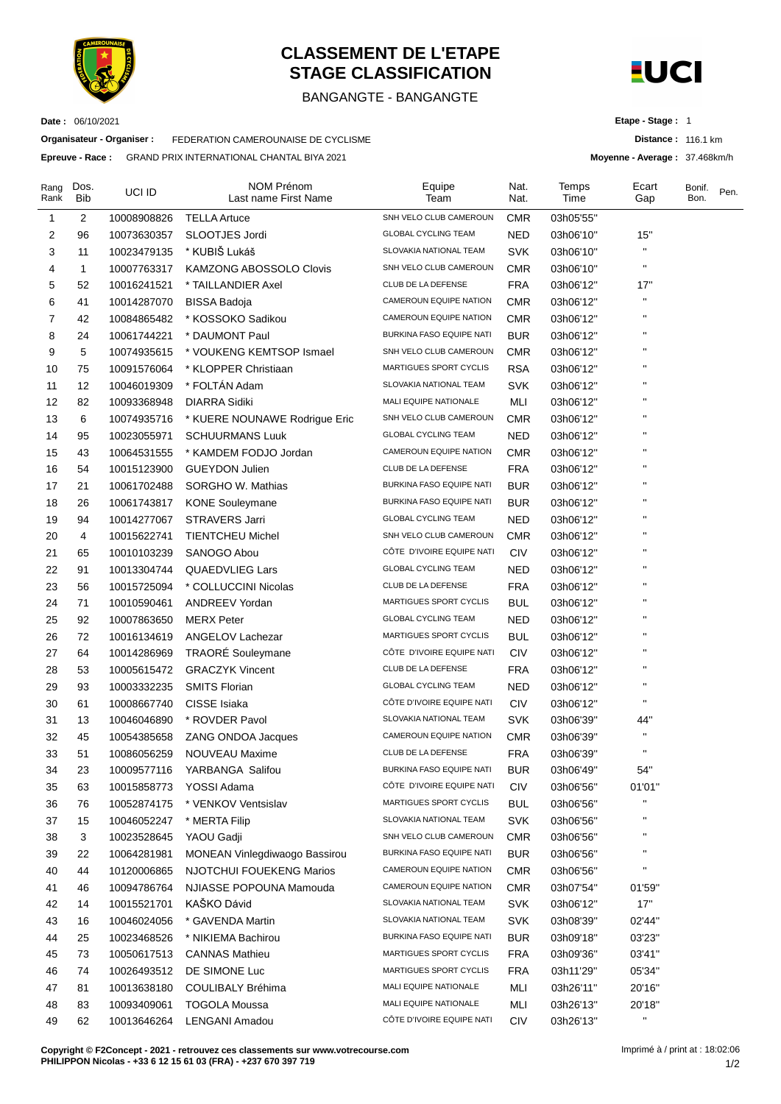

**Organisateur - Organiser :** FEDERATION CAMEROUNAISE DE CYCLISME **Epreuve - Race :** GRAND PRIX INTERNATIONAL CHANTAL BIYA 2021

**Date :** 06/10/2021

### **CLASSEMENT DE L'ETAPE STAGE CLASSIFICATION**

#### BANGANGTE - BANGANGTE



**Etape - Stage :** 1

**Distance :** 116.1 km

**Moyenne - Average :** 37.468km/h

Rang Rank Dos. Bib UCI ID NOM Prénom Last name First Name Equipe Team Nat. **Nat Temps** Time **E**cart Gap Bonif. **Bon** Pen. 1 2 10008908826 TELLA Artuce SNH VELO CLUB CAMEROUN CMR 03h05'55'' 2 96 10073630357 SLOOTJES Jordi GLOBAL CYCLING TEAM NED 03h06'10'' 15'' 3 11 10023479135 \* KUBIŠ Lukáš SLOVAKIA NATIONAL TEAM SVK 03h06'10" " 4 1 10007763317 KAMZONG ABOSSOLO Clovis SNH VELO CLUB CAMEROUN CMR 03h06'10'' '' 5 52 10016241521 \* TAILLANDIER Axel CLUB DE LA DEFENSE FRA 03h06'12'' 17'' 6 41 10014287070 BISSA Badoja CAMEROUN EQUIPE NATION CMR 03h06'12'' '' 7 42 10084865482 \* KOSSOKO Sadikou CAMEROUN EQUIPE NATION CMR 03h06'12'' '' 8 24 10061744221 \* DAUMONT Paul BURKINA FASO EQUIPE NATI BUR 03h06'12" " 9 5 10074935615 \* VOUKENG KEMTSOP Ismael SNH VELO CLUB CAMEROUN CMR 03h06'12'' '' 10 75 10091576064 \* KLOPPER Christiaan MARTIGUES SPORT CYCLIS RSA 03h06'12'' '' 11 12 10046019309 \* FOLTÁN Adam SLOVAKIA NATIONAL TEAM SVK 03h06'12" 12 82 10093368948 DIARRA Sidiki MALI EQUIPE NATIONALE MLI 03h06'12" 13 6 10074935716 \* KUERE NOUNAWE Rodrigue Eric SNH VELO CLUB CAMEROUN CMR 03h06'12'' '' 14 95 10023055971 SCHUURMANS Luuk GLOBAL CYCLING TEAM NED 03h06'12'' '' 15 43 10064531555 \* KAMDEM FODJO Jordan CAMEROUN EQUIPE NATION CMR 03h06'12'' '' 16 54 10015123900 GUEYDON Julien CLUB DE LA DEFENSE FRA 03h06'12'' '' 17 21 10061702488 SORGHO W. Mathias BURKINA FASO EQUIPE NATI BUR 03h06'12'' '' 18 26 10061743817 KONE Souleymane BURKINA FASO EQUIPE NATI BUR 03h06'12' 19 94 10014277067 STRAVERS Jarri GLOBAL CYCLING TEAM NED 03h06'12'' '' 20 4 10015622741 TIENTCHEU Michel SNH VELO CLUB CAMEROUN CMR 03h06'12" 21 65 10010103239 SANOGO Abou CÔTE D'IVOIRE EQUIPE NATI CIV 03h06'12" 22 91 10013304744 QUAEDVLIEG Lars GLOBAL CYCLING TEAM NED 03h06'12" 23 56 10015725094 \* COLLUCCINI Nicolas CLUB DE LA DEFENSE FRA 03h06'12" ' 24 71 10010590461 ANDREEV Yordan MARTIGUES SPORT CYCLIS BUL 03h06'12'' '' 25 92 10007863650 MERX Peter GLOBAL CYCLING TEAM NED 03h06'12'' '' 26 72 10016134619 ANGELOV Lachezar MARTIGUES SPORT CYCLIS BUL 03h06'12'' '' 27 64 10014286969 TRAORÉ Souleymane CÔTE D'IVOIRE EQUIPE NATI CIV 03h06'12' 28 53 10005615472 GRACZYK Vincent CLUB DE LA DEFENSE FRA 03h06'12" 29 93 10003332235 SMITS Florian GLOBAL CYCLING TEAM NED 03h06'12'' '' 30 61 10008667740 CISSE Isiaka CÔTE D'IVOIRE EQUIPE NATI CIV 03h06'12'' " 31 13 10046046890 \* ROVDER Pavol SLOVAKIA NATIONAL TEAM SVK 03h06'39'' 44'' 32 45 10054385658 ZANG ONDOA Jacques CAMEROUN EQUIPE NATION CMR 03h06'39" ' 33 51 10086056259 NOUVEAU Maxime CLUB DE LA DEFENSE FRA 03h06'39'' '' 34 23 10009577116 YARBANGA Salifou BURKINA FASO EQUIPE NATI BUR 03h06'49'' 54'' 35 63 10015858773 YOSSI Adama CÔTE D'IVOIRE EQUIPE NATI CIV 03h06'56'' 01'01'' 36 76 10052874175 \* VENKOV Ventsislav MARTIGUES SPORT CYCLIS BUL 03h06'56'' '' 37 15 10046052247 \* MERTA Filip SLOVAKIA NATIONAL TEAM SVK 03h06'56" " 38 3 10023528645 YAOU Gadji SNH VELO CLUB CAMEROUN CMR 03h06'56' 39 22 10064281981 MONEAN Vinlegdiwaogo Bassirou BURKINA FASO EQUIPE NATI BUR 03h06'56'' '' 40 44 10120006865 NJOTCHUI FOUEKENG Marios CAMEROUN EQUIPE NATION CMR 03h06'56'' '' 41 46 10094786764 NJIASSE POPOUNA Mamouda CAMEROUN EQUIPE NATION CMR 03h07'54'' 01'59'' 42 14 10015521701 KAŠKO Dávid SLOVAKIA NATIONAL TEAM SVK 03h06'12'' 17'' 43 16 10046024056 \* GAVENDA Martin SLOVAKIA NATIONAL TEAM SVK 03h08'39'' 02'44'' 44 25 10023468526 \* NIKIEMA Bachirou BURKINA FASO EQUIPE NATI BUR 03h09'18'' 03'23'' 45 73 10050617513 CANNAS Mathieu MARTIGUES SPORT CYCLIS FRA 03h09'36'' 03'41'' 46 74 10026493512 DE SIMONE Luc MARTIGUES SPORT CYCLIS FRA 03h11'29'' 05'34'' 47 81 10013638180 COULIBALY Bréhima MALI EQUIPE NATIONALE MLI 03h26'11'' 20'16'' 48 83 10093409061 TOGOLA Moussa MALI EQUIPE NATIONALE MLI 03h26'13'' 20'18'' 49 62 10013646264 LENGANI Amadou CÔTE D'IVOIRE EQUIPE NATI CIV 03h26'13'' ''

**Copyright © F2Concept - 2021 - retrouvez ces classements sur www.votrecourse.com PHILIPPON Nicolas - +33 6 12 15 61 03 (FRA) - +237 670 397 719**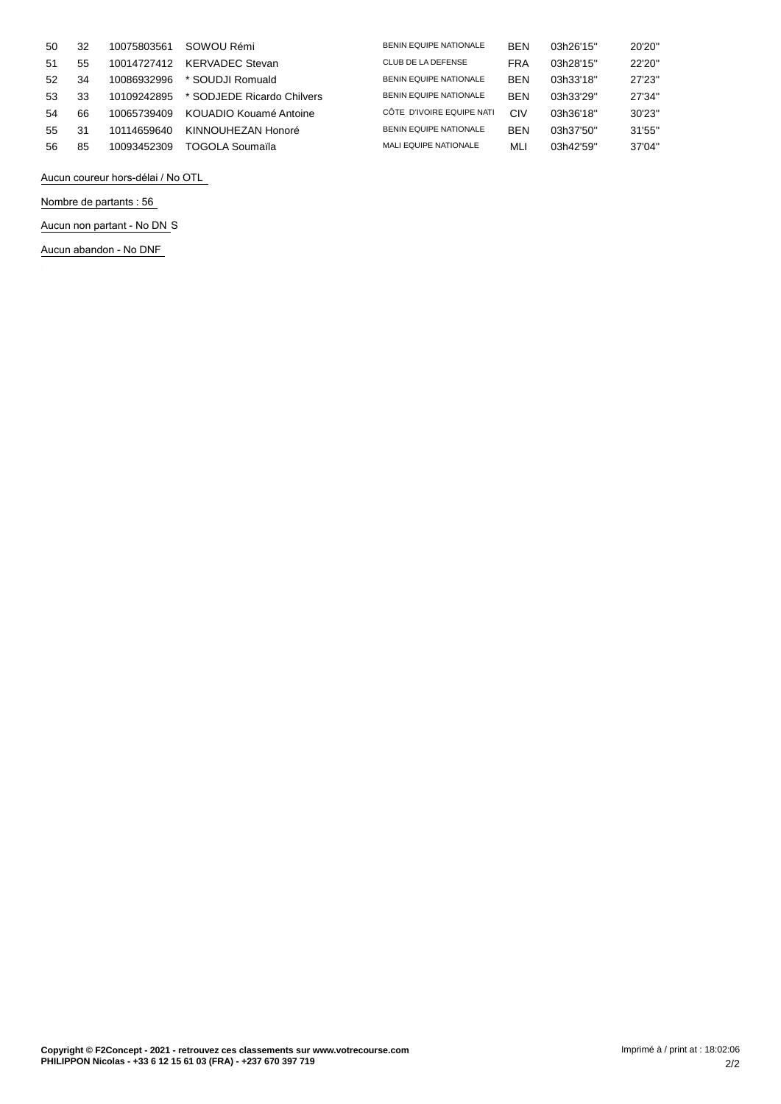| 50 | 32 | 10075803561 | SOWOU Rémi                 | <b>BENIN EQUIPE NATIONALE</b> | <b>BEN</b> | 03h26'15" | 20'20" |
|----|----|-------------|----------------------------|-------------------------------|------------|-----------|--------|
| 51 | 55 | 10014727412 | <b>KERVADEC Stevan</b>     | CLUB DE LA DEFENSE            | <b>FRA</b> | 03h28'15" | 22'20" |
| 52 | 34 | 10086932996 | * SOUDJI Romuald           | <b>BENIN EQUIPE NATIONALE</b> | <b>BEN</b> | 03h33'18" | 27'23" |
| 53 | 33 | 10109242895 | * SODJEDE Ricardo Chilvers | <b>BENIN EQUIPE NATIONALE</b> | <b>BEN</b> | 03h33'29" | 27'34" |
| 54 | 66 | 10065739409 | KOUADIO Kouamé Antoine     | CÔTE D'IVOIRE EQUIPE NATI     | CIV        | 03h36'18" | 30'23" |
| 55 | 31 | 10114659640 | KINNOUHEZAN Honoré         | <b>BENIN EQUIPE NATIONALE</b> | <b>BEN</b> | 03h37'50" | 31'55" |
| 56 | 85 | 10093452309 | TOGOLA Soumaïla            | <b>MALI EQUIPE NATIONALE</b>  | MLI        | 03h42'59" | 37'04" |

**Aucun coureur hors-délai / No OTL**

**Nombre de partants : 56**

**Aucun non partant - No DN** S

**Aucun abandon - No DNF**

 $\hat{A}$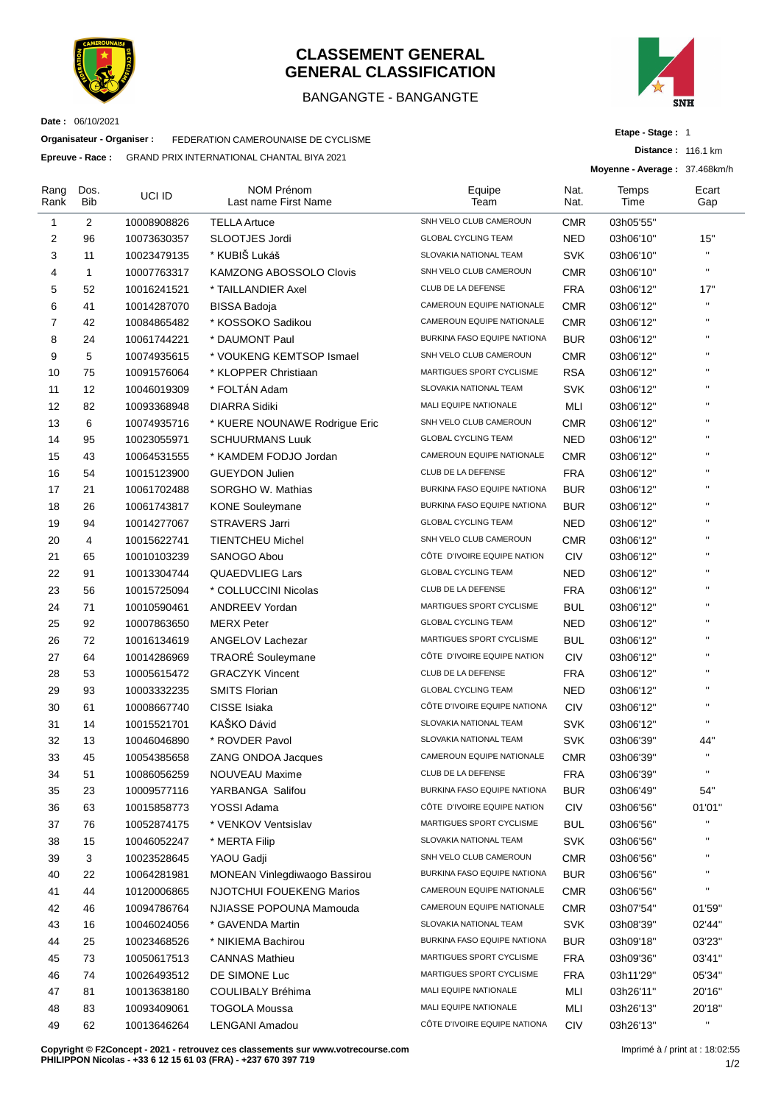

#### **CLASSEMENT GENERAL GENERAL CLASSIFICATION**

#### BANGANGTE - BANGANGTE



**Date :** 06/10/2021

**Organisateur - Organiser :** FEDERATION CAMEROUNAISE DE CYCLISME

**Epreuve - Race :** GRAND PRIX INTERNATIONAL CHANTAL BIYA 2021

**Etape - Stage :** 1

**Distance :** 116.1 km

**Moyenne - Average :** 37.468km/h

| SNH VELO CLUB CAMEROUN<br>2<br>$\mathbf{1}$<br><b>TELLA Artuce</b><br><b>CMR</b><br>03h05'55"<br>10008908826<br>2<br>96<br><b>GLOBAL CYCLING TEAM</b><br><b>NED</b><br>15"<br>SLOOTJES Jordi<br>10073630357<br>03h06'10"<br>$\mathbf{H}$<br>* KUBIŠ Lukáš<br>3<br><b>SVK</b><br>11<br>10023479135<br>SLOVAKIA NATIONAL TEAM<br>03h06'10"<br>$\mathbf{H}$<br>SNH VELO CLUB CAMEROUN<br>4<br>1<br>10007763317<br><b>KAMZONG ABOSSOLO Clovis</b><br><b>CMR</b><br>03h06'10"<br>5<br>17"<br>52<br>* TAILLANDIER Axel<br>CLUB DE LA DEFENSE<br><b>FRA</b><br>10016241521<br>03h06'12"<br>$\bar{\mathbf{u}}$<br>6<br>CAMEROUN EQUIPE NATIONALE<br>41<br>10014287070<br><b>BISSA Badoja</b><br><b>CMR</b><br>03h06'12"<br>$\mathbf{H}$<br>7<br>CAMEROUN EQUIPE NATIONALE<br>42<br>* KOSSOKO Sadikou<br><b>CMR</b><br>10084865482<br>03h06'12"<br>$\mathbf{H}$<br>8<br>BURKINA FASO EQUIPE NATIONA<br>24<br>* DAUMONT Paul<br><b>BUR</b><br>10061744221<br>03h06'12"<br>$\mathbf{H}$<br>9<br>5<br>SNH VELO CLUB CAMEROUN<br>* VOUKENG KEMTSOP Ismael<br><b>CMR</b><br>10074935615<br>03h06'12"<br>$\mathbf{H}$<br>75<br>MARTIGUES SPORT CYCLISME<br><b>RSA</b><br>10<br>10091576064<br>* KLOPPER Christiaan<br>03h06'12"<br>$\mathbf{H}$<br>* FOLTÁN Adam<br>11<br>12<br>SLOVAKIA NATIONAL TEAM<br><b>SVK</b><br>10046019309<br>03h06'12"<br>$\mathbf{H}$<br>12<br>MALI EQUIPE NATIONALE<br>82<br><b>DIARRA Sidiki</b><br>MLI<br>03h06'12"<br>10093368948<br>$\mathbf{H}$<br>SNH VELO CLUB CAMEROUN<br>13<br>6<br>10074935716<br>* KUERE NOUNAWE Rodrigue Eric<br><b>CMR</b><br>03h06'12"<br>$\mathbf{H}$<br><b>GLOBAL CYCLING TEAM</b><br>14<br>95<br><b>NED</b><br><b>SCHUURMANS Luuk</b><br>03h06'12"<br>10023055971<br>$\mathbf{H}$<br>CAMEROUN EQUIPE NATIONALE<br>15<br>43<br>* KAMDEM FODJO Jordan<br><b>CMR</b><br>10064531555<br>03h06'12"<br>$\mathbf{H}$<br>16<br>CLUB DE LA DEFENSE<br><b>FRA</b><br>54<br><b>GUEYDON Julien</b><br>10015123900<br>03h06'12"<br>$\mathbf{H}$<br>BURKINA FASO EQUIPE NATIONA<br>17<br>21<br>10061702488<br>SORGHO W. Mathias<br><b>BUR</b><br>03h06'12"<br>$\mathbf{H}$<br>BURKINA FASO EQUIPE NATIONA<br>18<br>26<br><b>BUR</b><br>10061743817<br><b>KONE Souleymane</b><br>03h06'12"<br>$\mathbf{H}$<br>19<br>94<br>10014277067<br><b>STRAVERS Jarri</b><br><b>GLOBAL CYCLING TEAM</b><br><b>NED</b><br>03h06'12"<br>$\mathbf{H}$<br>SNH VELO CLUB CAMEROUN<br>20<br>4<br><b>TIENTCHEU Michel</b><br><b>CMR</b><br>03h06'12"<br>10015622741<br>$\mathbf{H}$<br>CÔTE D'IVOIRE EQUIPE NATION<br>21<br>65<br>10010103239<br>SANOGO Abou<br><b>CIV</b><br>03h06'12"<br>$\mathbf{H}$<br><b>GLOBAL CYCLING TEAM</b><br><b>NED</b><br>22<br>91<br><b>QUAEDVLIEG Lars</b><br>03h06'12"<br>10013304744<br>$\mathbf{H}$<br>23<br>CLUB DE LA DEFENSE<br>56<br>* COLLUCCINI Nicolas<br><b>FRA</b><br>10015725094<br>03h06'12"<br>$\mathbf{H}$<br>24<br>71<br>MARTIGUES SPORT CYCLISME<br><b>ANDREEV Yordan</b><br>BUL<br>10010590461<br>03h06'12"<br>$\mathbf{H}$<br>25<br>92<br><b>MERX Peter</b><br><b>GLOBAL CYCLING TEAM</b><br><b>NED</b><br>10007863650<br>03h06'12"<br>$\mathbf{H}$<br>26<br>72<br>MARTIGUES SPORT CYCLISME<br>10016134619<br>ANGELOV Lachezar<br><b>BUL</b><br>03h06'12"<br>$\mathbf{H}$<br><b>TRAORÉ</b> Souleymane<br>CÔTE D'IVOIRE EQUIPE NATION<br>27<br>64<br><b>CIV</b><br>03h06'12"<br>10014286969<br>$\mathbf{H}$<br>28<br>CLUB DE LA DEFENSE<br>53<br>10005615472<br><b>GRACZYK Vincent</b><br><b>FRA</b><br>03h06'12"<br>$\mathbf{H}$<br><b>GLOBAL CYCLING TEAM</b><br>29<br>93<br>10003332235<br><b>SMITS Florian</b><br><b>NED</b><br>03h06'12"<br>$\mathbf{H}$<br>CISSE Isiaka<br>CÔTE D'IVOIRE EQUIPE NATIONA<br><b>CIV</b><br>30<br>61<br>10008667740<br>03h06'12"<br>$\mathbf{u}$<br>KAŠKO Dávid<br>SLOVAKIA NATIONAL TEAM<br>31<br>14<br>10015521701<br><b>SVK</b><br>03h06'12"<br>SLOVAKIA NATIONAL TEAM<br>44"<br>32<br>13<br>* ROVDER Pavol<br><b>SVK</b><br>10046046890<br>03h06'39"<br>$\mathbf{u}$<br>CAMEROUN EQUIPE NATIONALE<br>33<br>45<br><b>CMR</b><br>10054385658<br>ZANG ONDOA Jacques<br>03h06'39"<br>CLUB DE LA DEFENSE<br><b>FRA</b><br>NOUVEAU Maxime<br>34<br>51<br>10086056259<br>03h06'39"<br>BURKINA FASO EQUIPE NATIONA<br>54"<br>35<br>23<br>10009577116<br>YARBANGA Salifou<br><b>BUR</b><br>03h06'49"<br>36<br>CÔTE D'IVOIRE EQUIPE NATION<br>YOSSI Adama<br><b>CIV</b><br>01'01"<br>63<br>10015858773<br>03h06'56"<br>П<br>MARTIGUES SPORT CYCLISME<br>37<br>* VENKOV Ventsislav<br><b>BUL</b><br>76<br>10052874175<br>03h06'56"<br>П<br>SLOVAKIA NATIONAL TEAM<br>38<br>15<br>* MERTA Filip<br><b>SVK</b><br>10046052247<br>03h06'56"<br>$\mathbf{H}$<br>SNH VELO CLUB CAMEROUN<br>39<br>3<br>YAOU Gadji<br><b>CMR</b><br>10023528645<br>03h06'56"<br>п<br>BURKINA FASO EQUIPE NATIONA<br>40<br><b>MONEAN Vinlegdiwaogo Bassirou</b><br><b>BUR</b><br>22<br>10064281981<br>03h06'56"<br>u<br>41<br>44<br><b>NJOTCHUI FOUEKENG Marios</b><br>CAMEROUN EQUIPE NATIONALE<br><b>CMR</b><br>10120006865<br>03h06'56"<br>42<br>CAMEROUN EQUIPE NATIONALE<br><b>CMR</b><br>46<br>10094786764<br>NJIASSE POPOUNA Mamouda<br>03h07'54"<br>01'59"<br>SLOVAKIA NATIONAL TEAM<br><b>SVK</b><br>43<br>* GAVENDA Martin<br>02'44"<br>16<br>10046024056<br>03h08'39"<br>44<br>BURKINA FASO EQUIPE NATIONA<br>25<br><b>BUR</b><br>03'23"<br>10023468526<br>* NIKIEMA Bachirou<br>03h09'18"<br>45<br><b>CANNAS Mathieu</b><br>MARTIGUES SPORT CYCLISME<br><b>FRA</b><br>73<br>10050617513<br>03h09'36"<br>03'41"<br>MARTIGUES SPORT CYCLISME<br>46<br>DE SIMONE Luc<br><b>FRA</b><br>74<br>10026493512<br>03h11'29"<br>05'34"<br>MALI EQUIPE NATIONALE<br>47<br>81<br>MLI<br>10013638180<br>COULIBALY Bréhima<br>03h26'11"<br>20'16"<br>MALI EQUIPE NATIONALE<br>48<br>MLI<br>83<br>10093409061<br><b>TOGOLA Moussa</b><br>03h26'13"<br>20'18"<br>u<br>CÔTE D'IVOIRE EQUIPE NATIONA<br>49<br>62<br><b>LENGANI Amadou</b><br><b>CIV</b><br>10013646264<br>03h26'13" | Rang<br>Rank | Dos.<br>Bib | UCI ID | <b>NOM Prénom</b><br>Last name First Name | Equipe<br>Team | Nat.<br>Nat. | Temps<br>Time | Ecart<br>Gap |
|-------------------------------------------------------------------------------------------------------------------------------------------------------------------------------------------------------------------------------------------------------------------------------------------------------------------------------------------------------------------------------------------------------------------------------------------------------------------------------------------------------------------------------------------------------------------------------------------------------------------------------------------------------------------------------------------------------------------------------------------------------------------------------------------------------------------------------------------------------------------------------------------------------------------------------------------------------------------------------------------------------------------------------------------------------------------------------------------------------------------------------------------------------------------------------------------------------------------------------------------------------------------------------------------------------------------------------------------------------------------------------------------------------------------------------------------------------------------------------------------------------------------------------------------------------------------------------------------------------------------------------------------------------------------------------------------------------------------------------------------------------------------------------------------------------------------------------------------------------------------------------------------------------------------------------------------------------------------------------------------------------------------------------------------------------------------------------------------------------------------------------------------------------------------------------------------------------------------------------------------------------------------------------------------------------------------------------------------------------------------------------------------------------------------------------------------------------------------------------------------------------------------------------------------------------------------------------------------------------------------------------------------------------------------------------------------------------------------------------------------------------------------------------------------------------------------------------------------------------------------------------------------------------------------------------------------------------------------------------------------------------------------------------------------------------------------------------------------------------------------------------------------------------------------------------------------------------------------------------------------------------------------------------------------------------------------------------------------------------------------------------------------------------------------------------------------------------------------------------------------------------------------------------------------------------------------------------------------------------------------------------------------------------------------------------------------------------------------------------------------------------------------------------------------------------------------------------------------------------------------------------------------------------------------------------------------------------------------------------------------------------------------------------------------------------------------------------------------------------------------------------------------------------------------------------------------------------------------------------------------------------------------------------------------------------------------------------------------------------------------------------------------------------------------------------------------------------------------------------------------------------------------------------------------------------------------------------------------------------------------------------------------------------------------------------------------------------------------------------------------------------------------------------------------------------------------------------------------------------------------------------------------------------------------------------------------------------------------------------------------------------------------------------------------------------------------------------------------------------------------------------------------------------------------------------------------------------------------------------------------------------------------------------------------------------------------------------------------------------------------------------------------------------------------------------------------------------------------------------------------------------------------------------------------------------------------------------------------------------------------------------------------------------------------------------------------------------------------------------------------------------------------------------------------------------------------------------------------------------------------------------------------------------------------------------------------------|--------------|-------------|--------|-------------------------------------------|----------------|--------------|---------------|--------------|
|                                                                                                                                                                                                                                                                                                                                                                                                                                                                                                                                                                                                                                                                                                                                                                                                                                                                                                                                                                                                                                                                                                                                                                                                                                                                                                                                                                                                                                                                                                                                                                                                                                                                                                                                                                                                                                                                                                                                                                                                                                                                                                                                                                                                                                                                                                                                                                                                                                                                                                                                                                                                                                                                                                                                                                                                                                                                                                                                                                                                                                                                                                                                                                                                                                                                                                                                                                                                                                                                                                                                                                                                                                                                                                                                                                                                                                                                                                                                                                                                                                                                                                                                                                                                                                                                                                                                                                                                                                                                                                                                                                                                                                                                                                                                                                                                                                                                                                                                                                                                                                                                                                                                                                                                                                                                                                                                                                                                                                                                                                                                                                                                                                                                                                                                                                                                                                                                                                                                                 |              |             |        |                                           |                |              |               |              |
|                                                                                                                                                                                                                                                                                                                                                                                                                                                                                                                                                                                                                                                                                                                                                                                                                                                                                                                                                                                                                                                                                                                                                                                                                                                                                                                                                                                                                                                                                                                                                                                                                                                                                                                                                                                                                                                                                                                                                                                                                                                                                                                                                                                                                                                                                                                                                                                                                                                                                                                                                                                                                                                                                                                                                                                                                                                                                                                                                                                                                                                                                                                                                                                                                                                                                                                                                                                                                                                                                                                                                                                                                                                                                                                                                                                                                                                                                                                                                                                                                                                                                                                                                                                                                                                                                                                                                                                                                                                                                                                                                                                                                                                                                                                                                                                                                                                                                                                                                                                                                                                                                                                                                                                                                                                                                                                                                                                                                                                                                                                                                                                                                                                                                                                                                                                                                                                                                                                                                 |              |             |        |                                           |                |              |               |              |
|                                                                                                                                                                                                                                                                                                                                                                                                                                                                                                                                                                                                                                                                                                                                                                                                                                                                                                                                                                                                                                                                                                                                                                                                                                                                                                                                                                                                                                                                                                                                                                                                                                                                                                                                                                                                                                                                                                                                                                                                                                                                                                                                                                                                                                                                                                                                                                                                                                                                                                                                                                                                                                                                                                                                                                                                                                                                                                                                                                                                                                                                                                                                                                                                                                                                                                                                                                                                                                                                                                                                                                                                                                                                                                                                                                                                                                                                                                                                                                                                                                                                                                                                                                                                                                                                                                                                                                                                                                                                                                                                                                                                                                                                                                                                                                                                                                                                                                                                                                                                                                                                                                                                                                                                                                                                                                                                                                                                                                                                                                                                                                                                                                                                                                                                                                                                                                                                                                                                                 |              |             |        |                                           |                |              |               |              |
|                                                                                                                                                                                                                                                                                                                                                                                                                                                                                                                                                                                                                                                                                                                                                                                                                                                                                                                                                                                                                                                                                                                                                                                                                                                                                                                                                                                                                                                                                                                                                                                                                                                                                                                                                                                                                                                                                                                                                                                                                                                                                                                                                                                                                                                                                                                                                                                                                                                                                                                                                                                                                                                                                                                                                                                                                                                                                                                                                                                                                                                                                                                                                                                                                                                                                                                                                                                                                                                                                                                                                                                                                                                                                                                                                                                                                                                                                                                                                                                                                                                                                                                                                                                                                                                                                                                                                                                                                                                                                                                                                                                                                                                                                                                                                                                                                                                                                                                                                                                                                                                                                                                                                                                                                                                                                                                                                                                                                                                                                                                                                                                                                                                                                                                                                                                                                                                                                                                                                 |              |             |        |                                           |                |              |               |              |
|                                                                                                                                                                                                                                                                                                                                                                                                                                                                                                                                                                                                                                                                                                                                                                                                                                                                                                                                                                                                                                                                                                                                                                                                                                                                                                                                                                                                                                                                                                                                                                                                                                                                                                                                                                                                                                                                                                                                                                                                                                                                                                                                                                                                                                                                                                                                                                                                                                                                                                                                                                                                                                                                                                                                                                                                                                                                                                                                                                                                                                                                                                                                                                                                                                                                                                                                                                                                                                                                                                                                                                                                                                                                                                                                                                                                                                                                                                                                                                                                                                                                                                                                                                                                                                                                                                                                                                                                                                                                                                                                                                                                                                                                                                                                                                                                                                                                                                                                                                                                                                                                                                                                                                                                                                                                                                                                                                                                                                                                                                                                                                                                                                                                                                                                                                                                                                                                                                                                                 |              |             |        |                                           |                |              |               |              |
|                                                                                                                                                                                                                                                                                                                                                                                                                                                                                                                                                                                                                                                                                                                                                                                                                                                                                                                                                                                                                                                                                                                                                                                                                                                                                                                                                                                                                                                                                                                                                                                                                                                                                                                                                                                                                                                                                                                                                                                                                                                                                                                                                                                                                                                                                                                                                                                                                                                                                                                                                                                                                                                                                                                                                                                                                                                                                                                                                                                                                                                                                                                                                                                                                                                                                                                                                                                                                                                                                                                                                                                                                                                                                                                                                                                                                                                                                                                                                                                                                                                                                                                                                                                                                                                                                                                                                                                                                                                                                                                                                                                                                                                                                                                                                                                                                                                                                                                                                                                                                                                                                                                                                                                                                                                                                                                                                                                                                                                                                                                                                                                                                                                                                                                                                                                                                                                                                                                                                 |              |             |        |                                           |                |              |               |              |
|                                                                                                                                                                                                                                                                                                                                                                                                                                                                                                                                                                                                                                                                                                                                                                                                                                                                                                                                                                                                                                                                                                                                                                                                                                                                                                                                                                                                                                                                                                                                                                                                                                                                                                                                                                                                                                                                                                                                                                                                                                                                                                                                                                                                                                                                                                                                                                                                                                                                                                                                                                                                                                                                                                                                                                                                                                                                                                                                                                                                                                                                                                                                                                                                                                                                                                                                                                                                                                                                                                                                                                                                                                                                                                                                                                                                                                                                                                                                                                                                                                                                                                                                                                                                                                                                                                                                                                                                                                                                                                                                                                                                                                                                                                                                                                                                                                                                                                                                                                                                                                                                                                                                                                                                                                                                                                                                                                                                                                                                                                                                                                                                                                                                                                                                                                                                                                                                                                                                                 |              |             |        |                                           |                |              |               |              |
|                                                                                                                                                                                                                                                                                                                                                                                                                                                                                                                                                                                                                                                                                                                                                                                                                                                                                                                                                                                                                                                                                                                                                                                                                                                                                                                                                                                                                                                                                                                                                                                                                                                                                                                                                                                                                                                                                                                                                                                                                                                                                                                                                                                                                                                                                                                                                                                                                                                                                                                                                                                                                                                                                                                                                                                                                                                                                                                                                                                                                                                                                                                                                                                                                                                                                                                                                                                                                                                                                                                                                                                                                                                                                                                                                                                                                                                                                                                                                                                                                                                                                                                                                                                                                                                                                                                                                                                                                                                                                                                                                                                                                                                                                                                                                                                                                                                                                                                                                                                                                                                                                                                                                                                                                                                                                                                                                                                                                                                                                                                                                                                                                                                                                                                                                                                                                                                                                                                                                 |              |             |        |                                           |                |              |               |              |
|                                                                                                                                                                                                                                                                                                                                                                                                                                                                                                                                                                                                                                                                                                                                                                                                                                                                                                                                                                                                                                                                                                                                                                                                                                                                                                                                                                                                                                                                                                                                                                                                                                                                                                                                                                                                                                                                                                                                                                                                                                                                                                                                                                                                                                                                                                                                                                                                                                                                                                                                                                                                                                                                                                                                                                                                                                                                                                                                                                                                                                                                                                                                                                                                                                                                                                                                                                                                                                                                                                                                                                                                                                                                                                                                                                                                                                                                                                                                                                                                                                                                                                                                                                                                                                                                                                                                                                                                                                                                                                                                                                                                                                                                                                                                                                                                                                                                                                                                                                                                                                                                                                                                                                                                                                                                                                                                                                                                                                                                                                                                                                                                                                                                                                                                                                                                                                                                                                                                                 |              |             |        |                                           |                |              |               |              |
|                                                                                                                                                                                                                                                                                                                                                                                                                                                                                                                                                                                                                                                                                                                                                                                                                                                                                                                                                                                                                                                                                                                                                                                                                                                                                                                                                                                                                                                                                                                                                                                                                                                                                                                                                                                                                                                                                                                                                                                                                                                                                                                                                                                                                                                                                                                                                                                                                                                                                                                                                                                                                                                                                                                                                                                                                                                                                                                                                                                                                                                                                                                                                                                                                                                                                                                                                                                                                                                                                                                                                                                                                                                                                                                                                                                                                                                                                                                                                                                                                                                                                                                                                                                                                                                                                                                                                                                                                                                                                                                                                                                                                                                                                                                                                                                                                                                                                                                                                                                                                                                                                                                                                                                                                                                                                                                                                                                                                                                                                                                                                                                                                                                                                                                                                                                                                                                                                                                                                 |              |             |        |                                           |                |              |               |              |
|                                                                                                                                                                                                                                                                                                                                                                                                                                                                                                                                                                                                                                                                                                                                                                                                                                                                                                                                                                                                                                                                                                                                                                                                                                                                                                                                                                                                                                                                                                                                                                                                                                                                                                                                                                                                                                                                                                                                                                                                                                                                                                                                                                                                                                                                                                                                                                                                                                                                                                                                                                                                                                                                                                                                                                                                                                                                                                                                                                                                                                                                                                                                                                                                                                                                                                                                                                                                                                                                                                                                                                                                                                                                                                                                                                                                                                                                                                                                                                                                                                                                                                                                                                                                                                                                                                                                                                                                                                                                                                                                                                                                                                                                                                                                                                                                                                                                                                                                                                                                                                                                                                                                                                                                                                                                                                                                                                                                                                                                                                                                                                                                                                                                                                                                                                                                                                                                                                                                                 |              |             |        |                                           |                |              |               |              |
|                                                                                                                                                                                                                                                                                                                                                                                                                                                                                                                                                                                                                                                                                                                                                                                                                                                                                                                                                                                                                                                                                                                                                                                                                                                                                                                                                                                                                                                                                                                                                                                                                                                                                                                                                                                                                                                                                                                                                                                                                                                                                                                                                                                                                                                                                                                                                                                                                                                                                                                                                                                                                                                                                                                                                                                                                                                                                                                                                                                                                                                                                                                                                                                                                                                                                                                                                                                                                                                                                                                                                                                                                                                                                                                                                                                                                                                                                                                                                                                                                                                                                                                                                                                                                                                                                                                                                                                                                                                                                                                                                                                                                                                                                                                                                                                                                                                                                                                                                                                                                                                                                                                                                                                                                                                                                                                                                                                                                                                                                                                                                                                                                                                                                                                                                                                                                                                                                                                                                 |              |             |        |                                           |                |              |               |              |
|                                                                                                                                                                                                                                                                                                                                                                                                                                                                                                                                                                                                                                                                                                                                                                                                                                                                                                                                                                                                                                                                                                                                                                                                                                                                                                                                                                                                                                                                                                                                                                                                                                                                                                                                                                                                                                                                                                                                                                                                                                                                                                                                                                                                                                                                                                                                                                                                                                                                                                                                                                                                                                                                                                                                                                                                                                                                                                                                                                                                                                                                                                                                                                                                                                                                                                                                                                                                                                                                                                                                                                                                                                                                                                                                                                                                                                                                                                                                                                                                                                                                                                                                                                                                                                                                                                                                                                                                                                                                                                                                                                                                                                                                                                                                                                                                                                                                                                                                                                                                                                                                                                                                                                                                                                                                                                                                                                                                                                                                                                                                                                                                                                                                                                                                                                                                                                                                                                                                                 |              |             |        |                                           |                |              |               |              |
|                                                                                                                                                                                                                                                                                                                                                                                                                                                                                                                                                                                                                                                                                                                                                                                                                                                                                                                                                                                                                                                                                                                                                                                                                                                                                                                                                                                                                                                                                                                                                                                                                                                                                                                                                                                                                                                                                                                                                                                                                                                                                                                                                                                                                                                                                                                                                                                                                                                                                                                                                                                                                                                                                                                                                                                                                                                                                                                                                                                                                                                                                                                                                                                                                                                                                                                                                                                                                                                                                                                                                                                                                                                                                                                                                                                                                                                                                                                                                                                                                                                                                                                                                                                                                                                                                                                                                                                                                                                                                                                                                                                                                                                                                                                                                                                                                                                                                                                                                                                                                                                                                                                                                                                                                                                                                                                                                                                                                                                                                                                                                                                                                                                                                                                                                                                                                                                                                                                                                 |              |             |        |                                           |                |              |               |              |
|                                                                                                                                                                                                                                                                                                                                                                                                                                                                                                                                                                                                                                                                                                                                                                                                                                                                                                                                                                                                                                                                                                                                                                                                                                                                                                                                                                                                                                                                                                                                                                                                                                                                                                                                                                                                                                                                                                                                                                                                                                                                                                                                                                                                                                                                                                                                                                                                                                                                                                                                                                                                                                                                                                                                                                                                                                                                                                                                                                                                                                                                                                                                                                                                                                                                                                                                                                                                                                                                                                                                                                                                                                                                                                                                                                                                                                                                                                                                                                                                                                                                                                                                                                                                                                                                                                                                                                                                                                                                                                                                                                                                                                                                                                                                                                                                                                                                                                                                                                                                                                                                                                                                                                                                                                                                                                                                                                                                                                                                                                                                                                                                                                                                                                                                                                                                                                                                                                                                                 |              |             |        |                                           |                |              |               |              |
|                                                                                                                                                                                                                                                                                                                                                                                                                                                                                                                                                                                                                                                                                                                                                                                                                                                                                                                                                                                                                                                                                                                                                                                                                                                                                                                                                                                                                                                                                                                                                                                                                                                                                                                                                                                                                                                                                                                                                                                                                                                                                                                                                                                                                                                                                                                                                                                                                                                                                                                                                                                                                                                                                                                                                                                                                                                                                                                                                                                                                                                                                                                                                                                                                                                                                                                                                                                                                                                                                                                                                                                                                                                                                                                                                                                                                                                                                                                                                                                                                                                                                                                                                                                                                                                                                                                                                                                                                                                                                                                                                                                                                                                                                                                                                                                                                                                                                                                                                                                                                                                                                                                                                                                                                                                                                                                                                                                                                                                                                                                                                                                                                                                                                                                                                                                                                                                                                                                                                 |              |             |        |                                           |                |              |               |              |
|                                                                                                                                                                                                                                                                                                                                                                                                                                                                                                                                                                                                                                                                                                                                                                                                                                                                                                                                                                                                                                                                                                                                                                                                                                                                                                                                                                                                                                                                                                                                                                                                                                                                                                                                                                                                                                                                                                                                                                                                                                                                                                                                                                                                                                                                                                                                                                                                                                                                                                                                                                                                                                                                                                                                                                                                                                                                                                                                                                                                                                                                                                                                                                                                                                                                                                                                                                                                                                                                                                                                                                                                                                                                                                                                                                                                                                                                                                                                                                                                                                                                                                                                                                                                                                                                                                                                                                                                                                                                                                                                                                                                                                                                                                                                                                                                                                                                                                                                                                                                                                                                                                                                                                                                                                                                                                                                                                                                                                                                                                                                                                                                                                                                                                                                                                                                                                                                                                                                                 |              |             |        |                                           |                |              |               |              |
|                                                                                                                                                                                                                                                                                                                                                                                                                                                                                                                                                                                                                                                                                                                                                                                                                                                                                                                                                                                                                                                                                                                                                                                                                                                                                                                                                                                                                                                                                                                                                                                                                                                                                                                                                                                                                                                                                                                                                                                                                                                                                                                                                                                                                                                                                                                                                                                                                                                                                                                                                                                                                                                                                                                                                                                                                                                                                                                                                                                                                                                                                                                                                                                                                                                                                                                                                                                                                                                                                                                                                                                                                                                                                                                                                                                                                                                                                                                                                                                                                                                                                                                                                                                                                                                                                                                                                                                                                                                                                                                                                                                                                                                                                                                                                                                                                                                                                                                                                                                                                                                                                                                                                                                                                                                                                                                                                                                                                                                                                                                                                                                                                                                                                                                                                                                                                                                                                                                                                 |              |             |        |                                           |                |              |               |              |
|                                                                                                                                                                                                                                                                                                                                                                                                                                                                                                                                                                                                                                                                                                                                                                                                                                                                                                                                                                                                                                                                                                                                                                                                                                                                                                                                                                                                                                                                                                                                                                                                                                                                                                                                                                                                                                                                                                                                                                                                                                                                                                                                                                                                                                                                                                                                                                                                                                                                                                                                                                                                                                                                                                                                                                                                                                                                                                                                                                                                                                                                                                                                                                                                                                                                                                                                                                                                                                                                                                                                                                                                                                                                                                                                                                                                                                                                                                                                                                                                                                                                                                                                                                                                                                                                                                                                                                                                                                                                                                                                                                                                                                                                                                                                                                                                                                                                                                                                                                                                                                                                                                                                                                                                                                                                                                                                                                                                                                                                                                                                                                                                                                                                                                                                                                                                                                                                                                                                                 |              |             |        |                                           |                |              |               |              |
|                                                                                                                                                                                                                                                                                                                                                                                                                                                                                                                                                                                                                                                                                                                                                                                                                                                                                                                                                                                                                                                                                                                                                                                                                                                                                                                                                                                                                                                                                                                                                                                                                                                                                                                                                                                                                                                                                                                                                                                                                                                                                                                                                                                                                                                                                                                                                                                                                                                                                                                                                                                                                                                                                                                                                                                                                                                                                                                                                                                                                                                                                                                                                                                                                                                                                                                                                                                                                                                                                                                                                                                                                                                                                                                                                                                                                                                                                                                                                                                                                                                                                                                                                                                                                                                                                                                                                                                                                                                                                                                                                                                                                                                                                                                                                                                                                                                                                                                                                                                                                                                                                                                                                                                                                                                                                                                                                                                                                                                                                                                                                                                                                                                                                                                                                                                                                                                                                                                                                 |              |             |        |                                           |                |              |               |              |
|                                                                                                                                                                                                                                                                                                                                                                                                                                                                                                                                                                                                                                                                                                                                                                                                                                                                                                                                                                                                                                                                                                                                                                                                                                                                                                                                                                                                                                                                                                                                                                                                                                                                                                                                                                                                                                                                                                                                                                                                                                                                                                                                                                                                                                                                                                                                                                                                                                                                                                                                                                                                                                                                                                                                                                                                                                                                                                                                                                                                                                                                                                                                                                                                                                                                                                                                                                                                                                                                                                                                                                                                                                                                                                                                                                                                                                                                                                                                                                                                                                                                                                                                                                                                                                                                                                                                                                                                                                                                                                                                                                                                                                                                                                                                                                                                                                                                                                                                                                                                                                                                                                                                                                                                                                                                                                                                                                                                                                                                                                                                                                                                                                                                                                                                                                                                                                                                                                                                                 |              |             |        |                                           |                |              |               |              |
|                                                                                                                                                                                                                                                                                                                                                                                                                                                                                                                                                                                                                                                                                                                                                                                                                                                                                                                                                                                                                                                                                                                                                                                                                                                                                                                                                                                                                                                                                                                                                                                                                                                                                                                                                                                                                                                                                                                                                                                                                                                                                                                                                                                                                                                                                                                                                                                                                                                                                                                                                                                                                                                                                                                                                                                                                                                                                                                                                                                                                                                                                                                                                                                                                                                                                                                                                                                                                                                                                                                                                                                                                                                                                                                                                                                                                                                                                                                                                                                                                                                                                                                                                                                                                                                                                                                                                                                                                                                                                                                                                                                                                                                                                                                                                                                                                                                                                                                                                                                                                                                                                                                                                                                                                                                                                                                                                                                                                                                                                                                                                                                                                                                                                                                                                                                                                                                                                                                                                 |              |             |        |                                           |                |              |               |              |
|                                                                                                                                                                                                                                                                                                                                                                                                                                                                                                                                                                                                                                                                                                                                                                                                                                                                                                                                                                                                                                                                                                                                                                                                                                                                                                                                                                                                                                                                                                                                                                                                                                                                                                                                                                                                                                                                                                                                                                                                                                                                                                                                                                                                                                                                                                                                                                                                                                                                                                                                                                                                                                                                                                                                                                                                                                                                                                                                                                                                                                                                                                                                                                                                                                                                                                                                                                                                                                                                                                                                                                                                                                                                                                                                                                                                                                                                                                                                                                                                                                                                                                                                                                                                                                                                                                                                                                                                                                                                                                                                                                                                                                                                                                                                                                                                                                                                                                                                                                                                                                                                                                                                                                                                                                                                                                                                                                                                                                                                                                                                                                                                                                                                                                                                                                                                                                                                                                                                                 |              |             |        |                                           |                |              |               |              |
|                                                                                                                                                                                                                                                                                                                                                                                                                                                                                                                                                                                                                                                                                                                                                                                                                                                                                                                                                                                                                                                                                                                                                                                                                                                                                                                                                                                                                                                                                                                                                                                                                                                                                                                                                                                                                                                                                                                                                                                                                                                                                                                                                                                                                                                                                                                                                                                                                                                                                                                                                                                                                                                                                                                                                                                                                                                                                                                                                                                                                                                                                                                                                                                                                                                                                                                                                                                                                                                                                                                                                                                                                                                                                                                                                                                                                                                                                                                                                                                                                                                                                                                                                                                                                                                                                                                                                                                                                                                                                                                                                                                                                                                                                                                                                                                                                                                                                                                                                                                                                                                                                                                                                                                                                                                                                                                                                                                                                                                                                                                                                                                                                                                                                                                                                                                                                                                                                                                                                 |              |             |        |                                           |                |              |               |              |
|                                                                                                                                                                                                                                                                                                                                                                                                                                                                                                                                                                                                                                                                                                                                                                                                                                                                                                                                                                                                                                                                                                                                                                                                                                                                                                                                                                                                                                                                                                                                                                                                                                                                                                                                                                                                                                                                                                                                                                                                                                                                                                                                                                                                                                                                                                                                                                                                                                                                                                                                                                                                                                                                                                                                                                                                                                                                                                                                                                                                                                                                                                                                                                                                                                                                                                                                                                                                                                                                                                                                                                                                                                                                                                                                                                                                                                                                                                                                                                                                                                                                                                                                                                                                                                                                                                                                                                                                                                                                                                                                                                                                                                                                                                                                                                                                                                                                                                                                                                                                                                                                                                                                                                                                                                                                                                                                                                                                                                                                                                                                                                                                                                                                                                                                                                                                                                                                                                                                                 |              |             |        |                                           |                |              |               |              |
|                                                                                                                                                                                                                                                                                                                                                                                                                                                                                                                                                                                                                                                                                                                                                                                                                                                                                                                                                                                                                                                                                                                                                                                                                                                                                                                                                                                                                                                                                                                                                                                                                                                                                                                                                                                                                                                                                                                                                                                                                                                                                                                                                                                                                                                                                                                                                                                                                                                                                                                                                                                                                                                                                                                                                                                                                                                                                                                                                                                                                                                                                                                                                                                                                                                                                                                                                                                                                                                                                                                                                                                                                                                                                                                                                                                                                                                                                                                                                                                                                                                                                                                                                                                                                                                                                                                                                                                                                                                                                                                                                                                                                                                                                                                                                                                                                                                                                                                                                                                                                                                                                                                                                                                                                                                                                                                                                                                                                                                                                                                                                                                                                                                                                                                                                                                                                                                                                                                                                 |              |             |        |                                           |                |              |               |              |
|                                                                                                                                                                                                                                                                                                                                                                                                                                                                                                                                                                                                                                                                                                                                                                                                                                                                                                                                                                                                                                                                                                                                                                                                                                                                                                                                                                                                                                                                                                                                                                                                                                                                                                                                                                                                                                                                                                                                                                                                                                                                                                                                                                                                                                                                                                                                                                                                                                                                                                                                                                                                                                                                                                                                                                                                                                                                                                                                                                                                                                                                                                                                                                                                                                                                                                                                                                                                                                                                                                                                                                                                                                                                                                                                                                                                                                                                                                                                                                                                                                                                                                                                                                                                                                                                                                                                                                                                                                                                                                                                                                                                                                                                                                                                                                                                                                                                                                                                                                                                                                                                                                                                                                                                                                                                                                                                                                                                                                                                                                                                                                                                                                                                                                                                                                                                                                                                                                                                                 |              |             |        |                                           |                |              |               |              |
|                                                                                                                                                                                                                                                                                                                                                                                                                                                                                                                                                                                                                                                                                                                                                                                                                                                                                                                                                                                                                                                                                                                                                                                                                                                                                                                                                                                                                                                                                                                                                                                                                                                                                                                                                                                                                                                                                                                                                                                                                                                                                                                                                                                                                                                                                                                                                                                                                                                                                                                                                                                                                                                                                                                                                                                                                                                                                                                                                                                                                                                                                                                                                                                                                                                                                                                                                                                                                                                                                                                                                                                                                                                                                                                                                                                                                                                                                                                                                                                                                                                                                                                                                                                                                                                                                                                                                                                                                                                                                                                                                                                                                                                                                                                                                                                                                                                                                                                                                                                                                                                                                                                                                                                                                                                                                                                                                                                                                                                                                                                                                                                                                                                                                                                                                                                                                                                                                                                                                 |              |             |        |                                           |                |              |               |              |
|                                                                                                                                                                                                                                                                                                                                                                                                                                                                                                                                                                                                                                                                                                                                                                                                                                                                                                                                                                                                                                                                                                                                                                                                                                                                                                                                                                                                                                                                                                                                                                                                                                                                                                                                                                                                                                                                                                                                                                                                                                                                                                                                                                                                                                                                                                                                                                                                                                                                                                                                                                                                                                                                                                                                                                                                                                                                                                                                                                                                                                                                                                                                                                                                                                                                                                                                                                                                                                                                                                                                                                                                                                                                                                                                                                                                                                                                                                                                                                                                                                                                                                                                                                                                                                                                                                                                                                                                                                                                                                                                                                                                                                                                                                                                                                                                                                                                                                                                                                                                                                                                                                                                                                                                                                                                                                                                                                                                                                                                                                                                                                                                                                                                                                                                                                                                                                                                                                                                                 |              |             |        |                                           |                |              |               |              |
|                                                                                                                                                                                                                                                                                                                                                                                                                                                                                                                                                                                                                                                                                                                                                                                                                                                                                                                                                                                                                                                                                                                                                                                                                                                                                                                                                                                                                                                                                                                                                                                                                                                                                                                                                                                                                                                                                                                                                                                                                                                                                                                                                                                                                                                                                                                                                                                                                                                                                                                                                                                                                                                                                                                                                                                                                                                                                                                                                                                                                                                                                                                                                                                                                                                                                                                                                                                                                                                                                                                                                                                                                                                                                                                                                                                                                                                                                                                                                                                                                                                                                                                                                                                                                                                                                                                                                                                                                                                                                                                                                                                                                                                                                                                                                                                                                                                                                                                                                                                                                                                                                                                                                                                                                                                                                                                                                                                                                                                                                                                                                                                                                                                                                                                                                                                                                                                                                                                                                 |              |             |        |                                           |                |              |               |              |
|                                                                                                                                                                                                                                                                                                                                                                                                                                                                                                                                                                                                                                                                                                                                                                                                                                                                                                                                                                                                                                                                                                                                                                                                                                                                                                                                                                                                                                                                                                                                                                                                                                                                                                                                                                                                                                                                                                                                                                                                                                                                                                                                                                                                                                                                                                                                                                                                                                                                                                                                                                                                                                                                                                                                                                                                                                                                                                                                                                                                                                                                                                                                                                                                                                                                                                                                                                                                                                                                                                                                                                                                                                                                                                                                                                                                                                                                                                                                                                                                                                                                                                                                                                                                                                                                                                                                                                                                                                                                                                                                                                                                                                                                                                                                                                                                                                                                                                                                                                                                                                                                                                                                                                                                                                                                                                                                                                                                                                                                                                                                                                                                                                                                                                                                                                                                                                                                                                                                                 |              |             |        |                                           |                |              |               |              |
|                                                                                                                                                                                                                                                                                                                                                                                                                                                                                                                                                                                                                                                                                                                                                                                                                                                                                                                                                                                                                                                                                                                                                                                                                                                                                                                                                                                                                                                                                                                                                                                                                                                                                                                                                                                                                                                                                                                                                                                                                                                                                                                                                                                                                                                                                                                                                                                                                                                                                                                                                                                                                                                                                                                                                                                                                                                                                                                                                                                                                                                                                                                                                                                                                                                                                                                                                                                                                                                                                                                                                                                                                                                                                                                                                                                                                                                                                                                                                                                                                                                                                                                                                                                                                                                                                                                                                                                                                                                                                                                                                                                                                                                                                                                                                                                                                                                                                                                                                                                                                                                                                                                                                                                                                                                                                                                                                                                                                                                                                                                                                                                                                                                                                                                                                                                                                                                                                                                                                 |              |             |        |                                           |                |              |               |              |
|                                                                                                                                                                                                                                                                                                                                                                                                                                                                                                                                                                                                                                                                                                                                                                                                                                                                                                                                                                                                                                                                                                                                                                                                                                                                                                                                                                                                                                                                                                                                                                                                                                                                                                                                                                                                                                                                                                                                                                                                                                                                                                                                                                                                                                                                                                                                                                                                                                                                                                                                                                                                                                                                                                                                                                                                                                                                                                                                                                                                                                                                                                                                                                                                                                                                                                                                                                                                                                                                                                                                                                                                                                                                                                                                                                                                                                                                                                                                                                                                                                                                                                                                                                                                                                                                                                                                                                                                                                                                                                                                                                                                                                                                                                                                                                                                                                                                                                                                                                                                                                                                                                                                                                                                                                                                                                                                                                                                                                                                                                                                                                                                                                                                                                                                                                                                                                                                                                                                                 |              |             |        |                                           |                |              |               |              |
|                                                                                                                                                                                                                                                                                                                                                                                                                                                                                                                                                                                                                                                                                                                                                                                                                                                                                                                                                                                                                                                                                                                                                                                                                                                                                                                                                                                                                                                                                                                                                                                                                                                                                                                                                                                                                                                                                                                                                                                                                                                                                                                                                                                                                                                                                                                                                                                                                                                                                                                                                                                                                                                                                                                                                                                                                                                                                                                                                                                                                                                                                                                                                                                                                                                                                                                                                                                                                                                                                                                                                                                                                                                                                                                                                                                                                                                                                                                                                                                                                                                                                                                                                                                                                                                                                                                                                                                                                                                                                                                                                                                                                                                                                                                                                                                                                                                                                                                                                                                                                                                                                                                                                                                                                                                                                                                                                                                                                                                                                                                                                                                                                                                                                                                                                                                                                                                                                                                                                 |              |             |        |                                           |                |              |               |              |
|                                                                                                                                                                                                                                                                                                                                                                                                                                                                                                                                                                                                                                                                                                                                                                                                                                                                                                                                                                                                                                                                                                                                                                                                                                                                                                                                                                                                                                                                                                                                                                                                                                                                                                                                                                                                                                                                                                                                                                                                                                                                                                                                                                                                                                                                                                                                                                                                                                                                                                                                                                                                                                                                                                                                                                                                                                                                                                                                                                                                                                                                                                                                                                                                                                                                                                                                                                                                                                                                                                                                                                                                                                                                                                                                                                                                                                                                                                                                                                                                                                                                                                                                                                                                                                                                                                                                                                                                                                                                                                                                                                                                                                                                                                                                                                                                                                                                                                                                                                                                                                                                                                                                                                                                                                                                                                                                                                                                                                                                                                                                                                                                                                                                                                                                                                                                                                                                                                                                                 |              |             |        |                                           |                |              |               |              |
|                                                                                                                                                                                                                                                                                                                                                                                                                                                                                                                                                                                                                                                                                                                                                                                                                                                                                                                                                                                                                                                                                                                                                                                                                                                                                                                                                                                                                                                                                                                                                                                                                                                                                                                                                                                                                                                                                                                                                                                                                                                                                                                                                                                                                                                                                                                                                                                                                                                                                                                                                                                                                                                                                                                                                                                                                                                                                                                                                                                                                                                                                                                                                                                                                                                                                                                                                                                                                                                                                                                                                                                                                                                                                                                                                                                                                                                                                                                                                                                                                                                                                                                                                                                                                                                                                                                                                                                                                                                                                                                                                                                                                                                                                                                                                                                                                                                                                                                                                                                                                                                                                                                                                                                                                                                                                                                                                                                                                                                                                                                                                                                                                                                                                                                                                                                                                                                                                                                                                 |              |             |        |                                           |                |              |               |              |
|                                                                                                                                                                                                                                                                                                                                                                                                                                                                                                                                                                                                                                                                                                                                                                                                                                                                                                                                                                                                                                                                                                                                                                                                                                                                                                                                                                                                                                                                                                                                                                                                                                                                                                                                                                                                                                                                                                                                                                                                                                                                                                                                                                                                                                                                                                                                                                                                                                                                                                                                                                                                                                                                                                                                                                                                                                                                                                                                                                                                                                                                                                                                                                                                                                                                                                                                                                                                                                                                                                                                                                                                                                                                                                                                                                                                                                                                                                                                                                                                                                                                                                                                                                                                                                                                                                                                                                                                                                                                                                                                                                                                                                                                                                                                                                                                                                                                                                                                                                                                                                                                                                                                                                                                                                                                                                                                                                                                                                                                                                                                                                                                                                                                                                                                                                                                                                                                                                                                                 |              |             |        |                                           |                |              |               |              |
|                                                                                                                                                                                                                                                                                                                                                                                                                                                                                                                                                                                                                                                                                                                                                                                                                                                                                                                                                                                                                                                                                                                                                                                                                                                                                                                                                                                                                                                                                                                                                                                                                                                                                                                                                                                                                                                                                                                                                                                                                                                                                                                                                                                                                                                                                                                                                                                                                                                                                                                                                                                                                                                                                                                                                                                                                                                                                                                                                                                                                                                                                                                                                                                                                                                                                                                                                                                                                                                                                                                                                                                                                                                                                                                                                                                                                                                                                                                                                                                                                                                                                                                                                                                                                                                                                                                                                                                                                                                                                                                                                                                                                                                                                                                                                                                                                                                                                                                                                                                                                                                                                                                                                                                                                                                                                                                                                                                                                                                                                                                                                                                                                                                                                                                                                                                                                                                                                                                                                 |              |             |        |                                           |                |              |               |              |
|                                                                                                                                                                                                                                                                                                                                                                                                                                                                                                                                                                                                                                                                                                                                                                                                                                                                                                                                                                                                                                                                                                                                                                                                                                                                                                                                                                                                                                                                                                                                                                                                                                                                                                                                                                                                                                                                                                                                                                                                                                                                                                                                                                                                                                                                                                                                                                                                                                                                                                                                                                                                                                                                                                                                                                                                                                                                                                                                                                                                                                                                                                                                                                                                                                                                                                                                                                                                                                                                                                                                                                                                                                                                                                                                                                                                                                                                                                                                                                                                                                                                                                                                                                                                                                                                                                                                                                                                                                                                                                                                                                                                                                                                                                                                                                                                                                                                                                                                                                                                                                                                                                                                                                                                                                                                                                                                                                                                                                                                                                                                                                                                                                                                                                                                                                                                                                                                                                                                                 |              |             |        |                                           |                |              |               |              |
|                                                                                                                                                                                                                                                                                                                                                                                                                                                                                                                                                                                                                                                                                                                                                                                                                                                                                                                                                                                                                                                                                                                                                                                                                                                                                                                                                                                                                                                                                                                                                                                                                                                                                                                                                                                                                                                                                                                                                                                                                                                                                                                                                                                                                                                                                                                                                                                                                                                                                                                                                                                                                                                                                                                                                                                                                                                                                                                                                                                                                                                                                                                                                                                                                                                                                                                                                                                                                                                                                                                                                                                                                                                                                                                                                                                                                                                                                                                                                                                                                                                                                                                                                                                                                                                                                                                                                                                                                                                                                                                                                                                                                                                                                                                                                                                                                                                                                                                                                                                                                                                                                                                                                                                                                                                                                                                                                                                                                                                                                                                                                                                                                                                                                                                                                                                                                                                                                                                                                 |              |             |        |                                           |                |              |               |              |
|                                                                                                                                                                                                                                                                                                                                                                                                                                                                                                                                                                                                                                                                                                                                                                                                                                                                                                                                                                                                                                                                                                                                                                                                                                                                                                                                                                                                                                                                                                                                                                                                                                                                                                                                                                                                                                                                                                                                                                                                                                                                                                                                                                                                                                                                                                                                                                                                                                                                                                                                                                                                                                                                                                                                                                                                                                                                                                                                                                                                                                                                                                                                                                                                                                                                                                                                                                                                                                                                                                                                                                                                                                                                                                                                                                                                                                                                                                                                                                                                                                                                                                                                                                                                                                                                                                                                                                                                                                                                                                                                                                                                                                                                                                                                                                                                                                                                                                                                                                                                                                                                                                                                                                                                                                                                                                                                                                                                                                                                                                                                                                                                                                                                                                                                                                                                                                                                                                                                                 |              |             |        |                                           |                |              |               |              |
|                                                                                                                                                                                                                                                                                                                                                                                                                                                                                                                                                                                                                                                                                                                                                                                                                                                                                                                                                                                                                                                                                                                                                                                                                                                                                                                                                                                                                                                                                                                                                                                                                                                                                                                                                                                                                                                                                                                                                                                                                                                                                                                                                                                                                                                                                                                                                                                                                                                                                                                                                                                                                                                                                                                                                                                                                                                                                                                                                                                                                                                                                                                                                                                                                                                                                                                                                                                                                                                                                                                                                                                                                                                                                                                                                                                                                                                                                                                                                                                                                                                                                                                                                                                                                                                                                                                                                                                                                                                                                                                                                                                                                                                                                                                                                                                                                                                                                                                                                                                                                                                                                                                                                                                                                                                                                                                                                                                                                                                                                                                                                                                                                                                                                                                                                                                                                                                                                                                                                 |              |             |        |                                           |                |              |               |              |
|                                                                                                                                                                                                                                                                                                                                                                                                                                                                                                                                                                                                                                                                                                                                                                                                                                                                                                                                                                                                                                                                                                                                                                                                                                                                                                                                                                                                                                                                                                                                                                                                                                                                                                                                                                                                                                                                                                                                                                                                                                                                                                                                                                                                                                                                                                                                                                                                                                                                                                                                                                                                                                                                                                                                                                                                                                                                                                                                                                                                                                                                                                                                                                                                                                                                                                                                                                                                                                                                                                                                                                                                                                                                                                                                                                                                                                                                                                                                                                                                                                                                                                                                                                                                                                                                                                                                                                                                                                                                                                                                                                                                                                                                                                                                                                                                                                                                                                                                                                                                                                                                                                                                                                                                                                                                                                                                                                                                                                                                                                                                                                                                                                                                                                                                                                                                                                                                                                                                                 |              |             |        |                                           |                |              |               |              |
|                                                                                                                                                                                                                                                                                                                                                                                                                                                                                                                                                                                                                                                                                                                                                                                                                                                                                                                                                                                                                                                                                                                                                                                                                                                                                                                                                                                                                                                                                                                                                                                                                                                                                                                                                                                                                                                                                                                                                                                                                                                                                                                                                                                                                                                                                                                                                                                                                                                                                                                                                                                                                                                                                                                                                                                                                                                                                                                                                                                                                                                                                                                                                                                                                                                                                                                                                                                                                                                                                                                                                                                                                                                                                                                                                                                                                                                                                                                                                                                                                                                                                                                                                                                                                                                                                                                                                                                                                                                                                                                                                                                                                                                                                                                                                                                                                                                                                                                                                                                                                                                                                                                                                                                                                                                                                                                                                                                                                                                                                                                                                                                                                                                                                                                                                                                                                                                                                                                                                 |              |             |        |                                           |                |              |               |              |
|                                                                                                                                                                                                                                                                                                                                                                                                                                                                                                                                                                                                                                                                                                                                                                                                                                                                                                                                                                                                                                                                                                                                                                                                                                                                                                                                                                                                                                                                                                                                                                                                                                                                                                                                                                                                                                                                                                                                                                                                                                                                                                                                                                                                                                                                                                                                                                                                                                                                                                                                                                                                                                                                                                                                                                                                                                                                                                                                                                                                                                                                                                                                                                                                                                                                                                                                                                                                                                                                                                                                                                                                                                                                                                                                                                                                                                                                                                                                                                                                                                                                                                                                                                                                                                                                                                                                                                                                                                                                                                                                                                                                                                                                                                                                                                                                                                                                                                                                                                                                                                                                                                                                                                                                                                                                                                                                                                                                                                                                                                                                                                                                                                                                                                                                                                                                                                                                                                                                                 |              |             |        |                                           |                |              |               |              |
|                                                                                                                                                                                                                                                                                                                                                                                                                                                                                                                                                                                                                                                                                                                                                                                                                                                                                                                                                                                                                                                                                                                                                                                                                                                                                                                                                                                                                                                                                                                                                                                                                                                                                                                                                                                                                                                                                                                                                                                                                                                                                                                                                                                                                                                                                                                                                                                                                                                                                                                                                                                                                                                                                                                                                                                                                                                                                                                                                                                                                                                                                                                                                                                                                                                                                                                                                                                                                                                                                                                                                                                                                                                                                                                                                                                                                                                                                                                                                                                                                                                                                                                                                                                                                                                                                                                                                                                                                                                                                                                                                                                                                                                                                                                                                                                                                                                                                                                                                                                                                                                                                                                                                                                                                                                                                                                                                                                                                                                                                                                                                                                                                                                                                                                                                                                                                                                                                                                                                 |              |             |        |                                           |                |              |               |              |
|                                                                                                                                                                                                                                                                                                                                                                                                                                                                                                                                                                                                                                                                                                                                                                                                                                                                                                                                                                                                                                                                                                                                                                                                                                                                                                                                                                                                                                                                                                                                                                                                                                                                                                                                                                                                                                                                                                                                                                                                                                                                                                                                                                                                                                                                                                                                                                                                                                                                                                                                                                                                                                                                                                                                                                                                                                                                                                                                                                                                                                                                                                                                                                                                                                                                                                                                                                                                                                                                                                                                                                                                                                                                                                                                                                                                                                                                                                                                                                                                                                                                                                                                                                                                                                                                                                                                                                                                                                                                                                                                                                                                                                                                                                                                                                                                                                                                                                                                                                                                                                                                                                                                                                                                                                                                                                                                                                                                                                                                                                                                                                                                                                                                                                                                                                                                                                                                                                                                                 |              |             |        |                                           |                |              |               |              |
|                                                                                                                                                                                                                                                                                                                                                                                                                                                                                                                                                                                                                                                                                                                                                                                                                                                                                                                                                                                                                                                                                                                                                                                                                                                                                                                                                                                                                                                                                                                                                                                                                                                                                                                                                                                                                                                                                                                                                                                                                                                                                                                                                                                                                                                                                                                                                                                                                                                                                                                                                                                                                                                                                                                                                                                                                                                                                                                                                                                                                                                                                                                                                                                                                                                                                                                                                                                                                                                                                                                                                                                                                                                                                                                                                                                                                                                                                                                                                                                                                                                                                                                                                                                                                                                                                                                                                                                                                                                                                                                                                                                                                                                                                                                                                                                                                                                                                                                                                                                                                                                                                                                                                                                                                                                                                                                                                                                                                                                                                                                                                                                                                                                                                                                                                                                                                                                                                                                                                 |              |             |        |                                           |                |              |               |              |
|                                                                                                                                                                                                                                                                                                                                                                                                                                                                                                                                                                                                                                                                                                                                                                                                                                                                                                                                                                                                                                                                                                                                                                                                                                                                                                                                                                                                                                                                                                                                                                                                                                                                                                                                                                                                                                                                                                                                                                                                                                                                                                                                                                                                                                                                                                                                                                                                                                                                                                                                                                                                                                                                                                                                                                                                                                                                                                                                                                                                                                                                                                                                                                                                                                                                                                                                                                                                                                                                                                                                                                                                                                                                                                                                                                                                                                                                                                                                                                                                                                                                                                                                                                                                                                                                                                                                                                                                                                                                                                                                                                                                                                                                                                                                                                                                                                                                                                                                                                                                                                                                                                                                                                                                                                                                                                                                                                                                                                                                                                                                                                                                                                                                                                                                                                                                                                                                                                                                                 |              |             |        |                                           |                |              |               |              |

**Copyright © F2Concept - 2021 - retrouvez ces classements sur www.votrecourse.com PHILIPPON Nicolas - +33 6 12 15 61 03 (FRA) - +237 670 397 719**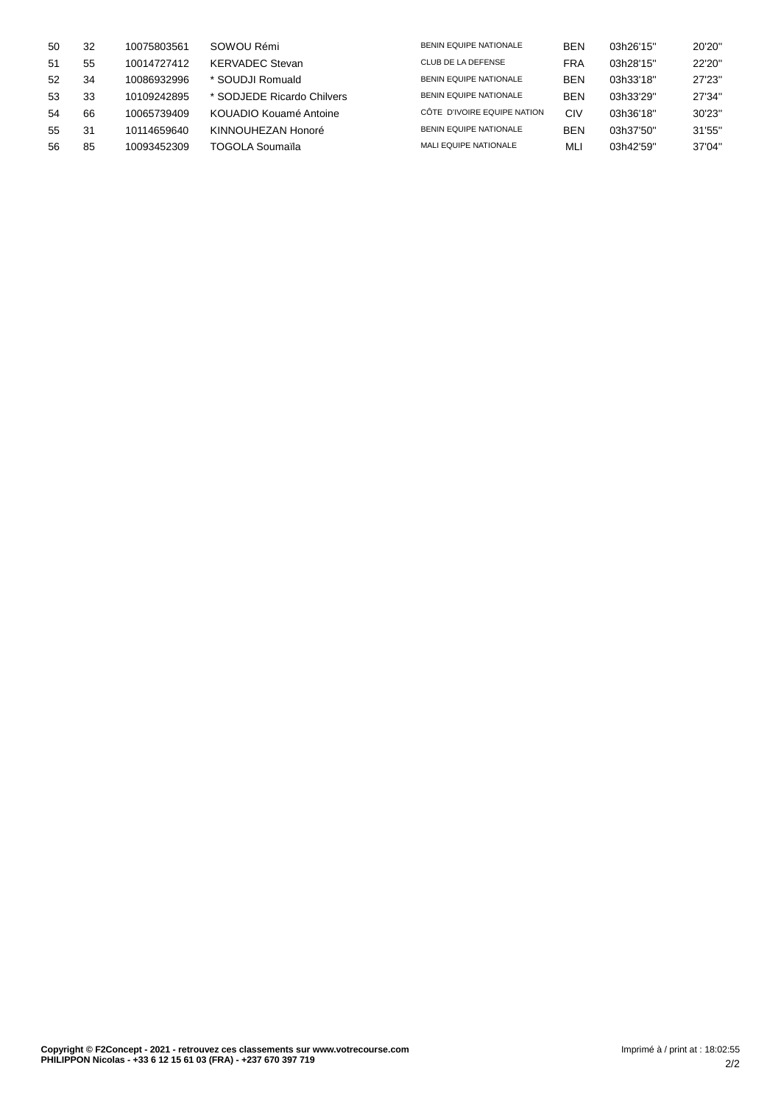| 50 | 32 | 10075803561 | SOWOU Rémi                 | <b>BENIN EQUIPE NATIONALE</b> | <b>BEN</b> | 03h26'15" | 20'20" |
|----|----|-------------|----------------------------|-------------------------------|------------|-----------|--------|
| 51 | 55 | 10014727412 | <b>KERVADEC Stevan</b>     | CLUB DE LA DEFENSE            | FRA        | 03h28'15" | 22'20" |
| 52 | 34 | 10086932996 | * SOUDJI Romuald           | <b>BENIN EQUIPE NATIONALE</b> | <b>BEN</b> | 03h33'18" | 27'23" |
| 53 | 33 | 10109242895 | * SODJEDE Ricardo Chilvers | <b>BENIN EQUIPE NATIONALE</b> | <b>BEN</b> | 03h33'29" | 27'34" |
| 54 | 66 | 10065739409 | KOUADIO Kouamé Antoine     | CÔTE D'IVOIRE EQUIPE NATION   | CIV        | 03h36'18" | 30'23" |
| 55 | 31 | 10114659640 | KINNOUHEZAN Honoré         | <b>BENIN EQUIPE NATIONALE</b> | <b>BEN</b> | 03h37'50" | 31'55" |
| 56 | 85 | 10093452309 | TOGOLA Soumaïla            | <b>MALI EQUIPE NATIONALE</b>  | ML         | 03h42'59" | 37'04" |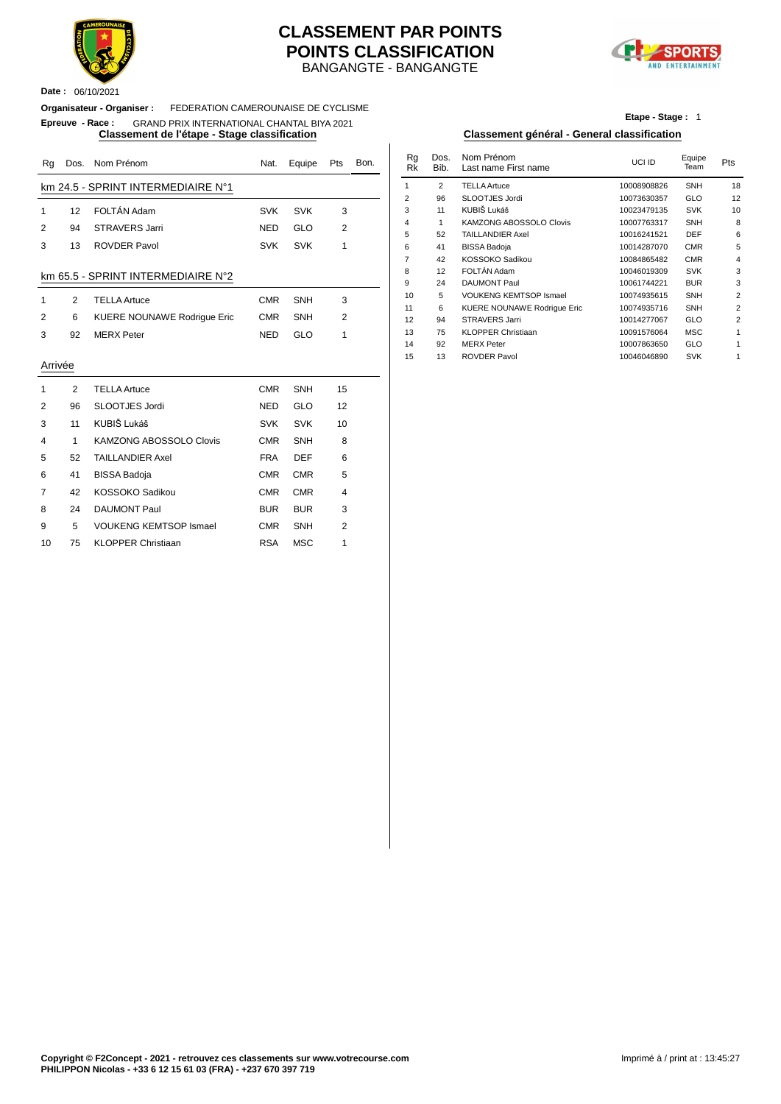

#### **Date :** 06/10/2021

#### BANGANGTE - BANGANGTE **CLASSEMENT PAR POINTS POINTS CLASSIFICATION**



#### **Organisateur - Organiser :** FEDERATION CAMEROUNAISE DE CYCLISME

#### **Epreuve - Race :** GRAND PRIX INTERNATIONAL CHANTAL BIYA 2021

| Rg      | Dos.         | Nom Prénom                         | Nat.       | Equipe     | Pts            | Bon. | Rg<br><b>Rk</b> | Dos.<br>Bib.   | Nom Prénom<br>Last name First name                   | UCI ID                     | Equipe<br>Team | Pts            |
|---------|--------------|------------------------------------|------------|------------|----------------|------|-----------------|----------------|------------------------------------------------------|----------------------------|----------------|----------------|
|         |              | km 24.5 - SPRINT INTERMEDIAIRE N°1 |            |            |                |      | $\overline{1}$  | $\overline{2}$ | <b>TELLA Artuce</b>                                  | 10008908826                | SNH            | 18             |
|         |              |                                    |            |            |                |      | $\overline{2}$  | 96             | SLOOTJES Jordi                                       | 10073630357                | GLO            | 12             |
| 1       | 12           | FOLTÁN Adam                        | <b>SVK</b> | <b>SVK</b> | 3              |      | 3               | 11             | KUBIŠ Lukáš                                          | 10023479135                | <b>SVK</b>     | 1 <sub>0</sub> |
| 2       | 94           | <b>STRAVERS Jarri</b>              | <b>NED</b> | GLO        | 2              |      | $\overline{4}$  | 1              | <b>KAMZONG ABOSSOLO Clovis</b>                       | 10007763317                | SNH            | ε              |
|         |              |                                    |            |            |                |      | 5               | 52             | <b>TAILLANDIER Axel</b>                              | 10016241521                | <b>DEF</b>     | 6              |
| 3       | 13           | <b>ROVDER Pavol</b>                | <b>SVK</b> | <b>SVK</b> | $\mathbf{1}$   |      | 6               | 41             | <b>BISSA Badoja</b>                                  | 10014287070                | <b>CMR</b>     |                |
|         |              |                                    |            |            |                |      | $\overline{7}$  | 42             | KOSSOKO Sadikou                                      | 10084865482                | <b>CMR</b>     |                |
|         |              | km 65.5 - SPRINT INTERMEDIAIRE N°2 |            |            |                |      | 8               | 12             | FOLTÁN Adam                                          | 10046019309                | <b>SVK</b>     |                |
|         |              |                                    |            |            |                |      | 9               | 24             | <b>DAUMONT Paul</b>                                  | 10061744221                | <b>BUR</b>     |                |
| 1       | 2            | <b>TELLA Artuce</b>                | <b>CMR</b> | SNH        | 3              |      | 10              | 5              | <b>VOUKENG KEMTSOP Ismael</b>                        | 10074935615                | SNH            |                |
| 2       | 6            | KUERE NOUNAWE Rodrigue Eric        | <b>CMR</b> | <b>SNH</b> | $\overline{2}$ |      | 11              | 6              | KUERE NOUNAWE Rodrigue Eric<br><b>STRAVERS Jarri</b> | 10074935716                | SNH<br>GLO     |                |
|         |              |                                    |            |            |                |      | 12<br>13        | 94<br>75       | <b>KLOPPER Christiaan</b>                            | 10014277067<br>10091576064 | <b>MSC</b>     |                |
| 3       | 92           | <b>MERX Peter</b>                  | <b>NED</b> | GLO        | 1              |      | 14              | 92             | <b>MERX Peter</b>                                    | 10007863650                | GLO            |                |
|         |              |                                    |            |            |                |      | 15              | 13             | <b>ROVDER Pavol</b>                                  | 10046046890                | <b>SVK</b>     |                |
| Arrivée |              |                                    |            |            |                |      |                 |                |                                                      |                            |                |                |
|         | 2            | <b>TELLA Artuce</b>                | <b>CMR</b> | <b>SNH</b> | 15             |      |                 |                |                                                      |                            |                |                |
| 2       | 96           | SLOOTJES Jordi                     | <b>NED</b> | <b>GLO</b> | 12             |      |                 |                |                                                      |                            |                |                |
| 3       | 11           | KUBIŠ Lukáš                        | <b>SVK</b> | <b>SVK</b> | 10             |      |                 |                |                                                      |                            |                |                |
| 4       | $\mathbf{1}$ | <b>KAMZONG ABOSSOLO Clovis</b>     | <b>CMR</b> | <b>SNH</b> | 8              |      |                 |                |                                                      |                            |                |                |
| 5       | 52           | <b>TAILLANDIER Axel</b>            | <b>FRA</b> | <b>DEF</b> | 6              |      |                 |                |                                                      |                            |                |                |
| 6       | 41           | <b>BISSA Badoja</b>                | <b>CMR</b> | <b>CMR</b> | 5              |      |                 |                |                                                      |                            |                |                |
| 7       | 42           | KOSSOKO Sadikou                    | <b>CMR</b> | <b>CMR</b> | 4              |      |                 |                |                                                      |                            |                |                |
| 8       | 24           | <b>DAUMONT Paul</b>                | <b>BUR</b> | <b>BUR</b> | 3              |      |                 |                |                                                      |                            |                |                |
| 9       | 5            | <b>VOUKENG KEMTSOP Ismael</b>      | <b>CMR</b> | SNH        | $\overline{2}$ |      |                 |                |                                                      |                            |                |                |
| 10      | 75           | <b>KLOPPER Christiaan</b>          | <b>RSA</b> | <b>MSC</b> |                |      |                 |                |                                                      |                            |                |                |

**Etape - Stage :** 1

#### **Classement de l'étape - Stage classification Classement général - General classification**

| Nat.       | Equipe     | <b>Pts</b>     | Bon. | Rg<br>Rk       | Dos.<br>Bib.   | Nom Prénom<br>Last name First name | UCI ID      | Equipe<br>Team | Pts            |
|------------|------------|----------------|------|----------------|----------------|------------------------------------|-------------|----------------|----------------|
|            |            |                |      | 1              | $\overline{2}$ | <b>TELLA Artuce</b>                | 10008908826 | <b>SNH</b>     | 18             |
|            |            |                |      | $\overline{2}$ | 96             | SLOOTJES Jordi                     | 10073630357 | <b>GLO</b>     | 12             |
| <b>SVK</b> | <b>SVK</b> | 3              |      | 3              | 11             | KUBIŠ Lukáš                        | 10023479135 | <b>SVK</b>     | 10             |
|            |            | $\overline{2}$ |      | $\overline{4}$ | 1              | KAMZONG ABOSSOLO Clovis            | 10007763317 | <b>SNH</b>     | 8              |
| NED        | <b>GLO</b> |                |      | 5              | 52             | <b>TAILLANDIER Axel</b>            | 10016241521 | <b>DEF</b>     | 6              |
| SVK        | <b>SVK</b> | 1              |      | 6              | 41             | <b>BISSA Badoja</b>                | 10014287070 | <b>CMR</b>     | 5              |
|            |            |                |      | $\overline{7}$ | 42             | KOSSOKO Sadikou                    | 10084865482 | <b>CMR</b>     | $\overline{4}$ |
|            |            |                |      | 8              | 12             | FOLTÁN Adam                        | 10046019309 | <b>SVK</b>     | 3              |
|            |            |                |      | 9              | 24             | <b>DAUMONT Paul</b>                | 10061744221 | <b>BUR</b>     | 3              |
| CMR        | <b>SNH</b> | 3              |      | 10             | 5              | <b>VOUKENG KEMTSOP Ismael</b>      | 10074935615 | <b>SNH</b>     | 2              |
|            |            |                |      | 11             | 6              | <b>KUERE NOUNAWE Rodrique Eric</b> | 10074935716 | <b>SNH</b>     | $\overline{2}$ |
| CMR        | <b>SNH</b> | $\overline{2}$ |      | 12             | 94             | <b>STRAVERS Jarri</b>              | 10014277067 | <b>GLO</b>     | $\overline{2}$ |
| NED        | <b>GLO</b> | 1              |      | 13             | 75             | <b>KLOPPER Christiaan</b>          | 10091576064 | <b>MSC</b>     | 1              |
|            |            |                |      | 14             | 92             | <b>MERX</b> Peter                  | 10007863650 | <b>GLO</b>     | $\mathbf{1}$   |
|            |            |                |      | 15             | 13             | <b>ROVDER Pavol</b>                | 10046046890 | <b>SVK</b>     | $\mathbf{1}$   |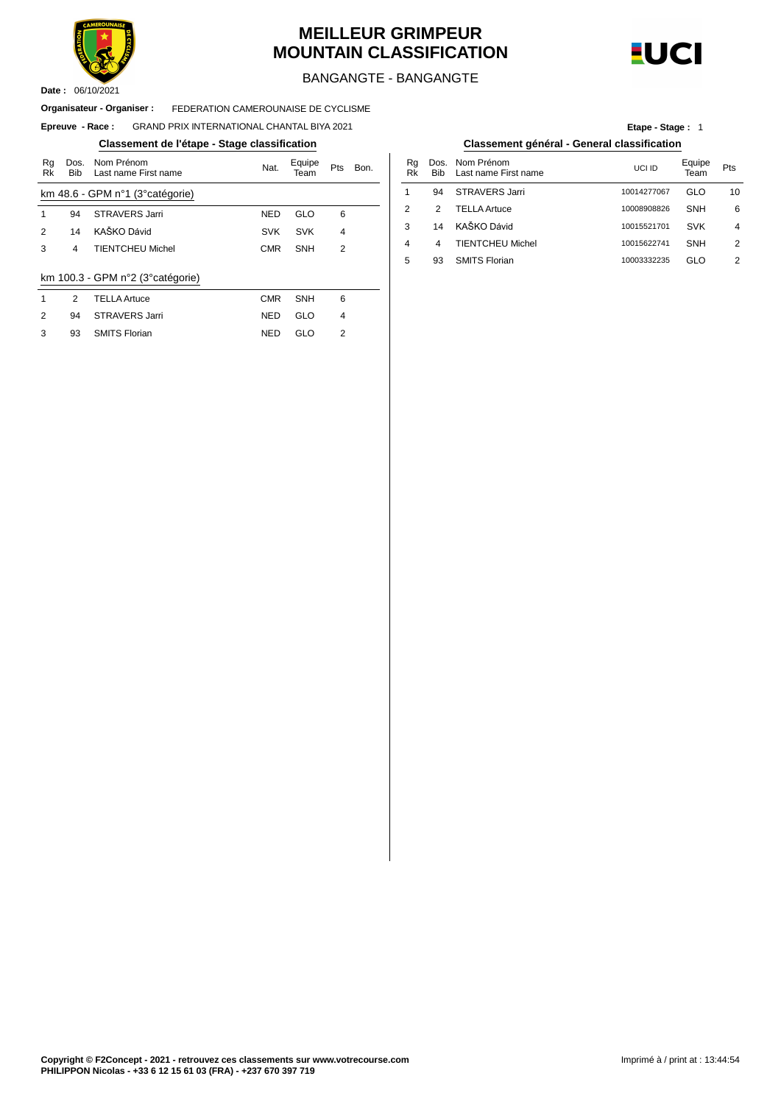

93 SMITS Florian

#### **MEILLEUR GRIMPEUR MOUNTAIN CLASSIFICATION**



BANGANGTE - BANGANGTE

#### FEDERATION CAMEROUNAISE DE CYCLISME **Organisateur - Organiser :**

#### $E$ preuve - **Race** : GRAND PRIX INTERNATIONAL CHANTAL BIYA 2021

#### **Classement de l'étape - Stage classification Classement général - General classification**

| Rg<br>Rk | Dos.<br><b>Bib</b> | Nom Prénom<br>Last name First name | Nat.       | Equipe<br>Team | Pts            | Bon. | Rg<br>Rk       | Dos<br>Bib     |
|----------|--------------------|------------------------------------|------------|----------------|----------------|------|----------------|----------------|
|          |                    | km 48.6 - GPM n°1 (3° catégorie)   |            |                |                |      | 1              | 94             |
| 1        | 94                 | <b>STRAVERS Jarri</b>              | <b>NED</b> | GLO            | 6              |      | $\overline{2}$ | 2              |
| 2        | 14                 | KAŠKO Dávid                        | <b>SVK</b> | <b>SVK</b>     | $\overline{4}$ |      | 3              | 14             |
| 3        | 4                  | <b>TIENTCHEU Michel</b>            | <b>CMR</b> | <b>SNH</b>     | $\overline{2}$ |      | 4              | $\overline{4}$ |
|          |                    |                                    |            |                |                |      | 5              | 93             |
|          |                    | km 100.3 - GPM n°2 (3° catégorie)  |            |                |                |      |                |                |
| 1        | 2                  | <b>TELLA Artuce</b>                | <b>CMR</b> | <b>SNH</b>     | 6              |      |                |                |
| 2        | 94                 | <b>STRAVERS Jarri</b>              | <b>NED</b> | GLO            | $\overline{4}$ |      |                |                |
| 3        | 93                 | <b>SMITS Florian</b>               | <b>NED</b> | GLO            | 2              |      |                |                |

NED GLO

**Etape - Stage :** 1

| Bon. | Ra<br>Rk | Bib. | Dos. Nom Prénom<br>Last name First name | UCI ID      | Equipe<br>Team | Pts |
|------|----------|------|-----------------------------------------|-------------|----------------|-----|
|      |          | 94   | STRAVERS Jarri                          | 10014277067 | GLO            | 10  |
|      | 2        | 2    | <b>TELLA Artuce</b>                     | 10008908826 | <b>SNH</b>     | 6   |
|      | 3        | 14   | KAŠKO Dávid                             | 10015521701 | <b>SVK</b>     | 4   |
|      | 4        | 4    | <b>TIENTCHEU Michel</b>                 | 10015622741 | <b>SNH</b>     | 2   |
|      | 5        | 93   | <b>SMITS Florian</b>                    | 10003332235 | GLO            | 2   |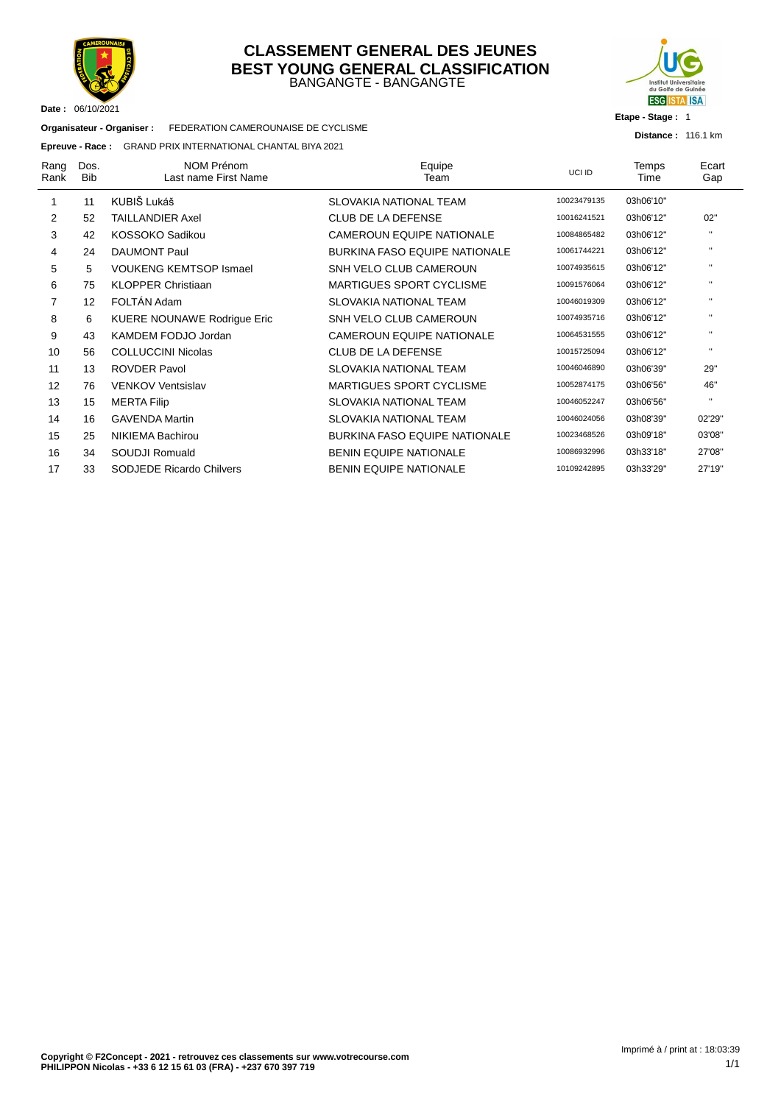

#### BANGANGTE - BANGANGTE **CLASSEMENT GENERAL DES JEUNES BEST YOUNG GENERAL CLASSIFICATION**



**Etape - Stage :** 1

**Distance :** 116.1 km

**Organisateur - Organiser :** FEDERATION CAMEROUNAISE DE CYCLISME

#### **Epreuve - Race :** GRAND PRIX INTERNATIONAL CHANTAL BIYA 2021

| Rang<br>Rank   | Dos.<br><b>Bib</b> | NOM Prénom<br>Last name First Name | Equipe<br>Team                       | UCI ID      | Temps<br>Time | Ecart<br>Gap |
|----------------|--------------------|------------------------------------|--------------------------------------|-------------|---------------|--------------|
|                | 11                 | KUBIŠ Lukáš                        | SLOVAKIA NATIONAL TEAM               | 10023479135 | 03h06'10"     |              |
| 2              | 52                 | <b>TAILLANDIER Axel</b>            | <b>CLUB DE LA DEFENSE</b>            | 10016241521 | 03h06'12"     | 02"          |
| 3              | 42                 | KOSSOKO Sadikou                    | <b>CAMEROUN EQUIPE NATIONALE</b>     | 10084865482 | 03h06'12"     | $\mathbf{H}$ |
| 4              | 24                 | <b>DAUMONT Paul</b>                | <b>BURKINA FASO EQUIPE NATIONALE</b> | 10061744221 | 03h06'12"     | $\mathbf{H}$ |
| 5              | 5                  | <b>VOUKENG KEMTSOP Ismael</b>      | SNH VELO CLUB CAMEROUN               | 10074935615 | 03h06'12"     | $\mathbf{H}$ |
| 6              | 75                 | <b>KLOPPER Christiaan</b>          | <b>MARTIGUES SPORT CYCLISME</b>      | 10091576064 | 03h06'12"     | $\mathbf{H}$ |
| $\overline{7}$ | 12                 | FOLTÁN Adam                        | <b>SLOVAKIA NATIONAL TEAM</b>        | 10046019309 | 03h06'12"     | $\mathbf{H}$ |
| 8              | 6                  | <b>KUERE NOUNAWE Rodrigue Eric</b> | SNH VELO CLUB CAMEROUN               | 10074935716 | 03h06'12"     | $\mathbf{H}$ |
| 9              | 43                 | KAMDEM FODJO Jordan                | <b>CAMEROUN EQUIPE NATIONALE</b>     | 10064531555 | 03h06'12"     | $\mathbf{H}$ |
| 10             | 56                 | <b>COLLUCCINI Nicolas</b>          | <b>CLUB DE LA DEFENSE</b>            | 10015725094 | 03h06'12"     | $\mathbf{H}$ |
| 11             | 13                 | <b>ROVDER Pavol</b>                | <b>SLOVAKIA NATIONAL TEAM</b>        | 10046046890 | 03h06'39"     | 29"          |
| 12             | 76                 | <b>VENKOV Ventsislav</b>           | <b>MARTIGUES SPORT CYCLISME</b>      | 10052874175 | 03h06'56"     | 46"          |
| 13             | 15                 | <b>MERTA Filip</b>                 | SLOVAKIA NATIONAL TEAM               | 10046052247 | 03h06'56"     | $\mathbf{H}$ |
| 14             | 16                 | <b>GAVENDA Martin</b>              | SLOVAKIA NATIONAL TEAM               | 10046024056 | 03h08'39"     | 02'29"       |
| 15             | 25                 | <b>NIKIEMA Bachirou</b>            | <b>BURKINA FASO EQUIPE NATIONALE</b> | 10023468526 | 03h09'18"     | 03'08"       |
| 16             | 34                 | SOUDJI Romuald                     | <b>BENIN EQUIPE NATIONALE</b>        | 10086932996 | 03h33'18"     | 27'08"       |
| 17             | 33                 | <b>SODJEDE Ricardo Chilvers</b>    | <b>BENIN EQUIPE NATIONALE</b>        | 10109242895 | 03h33'29"     | 27'19"       |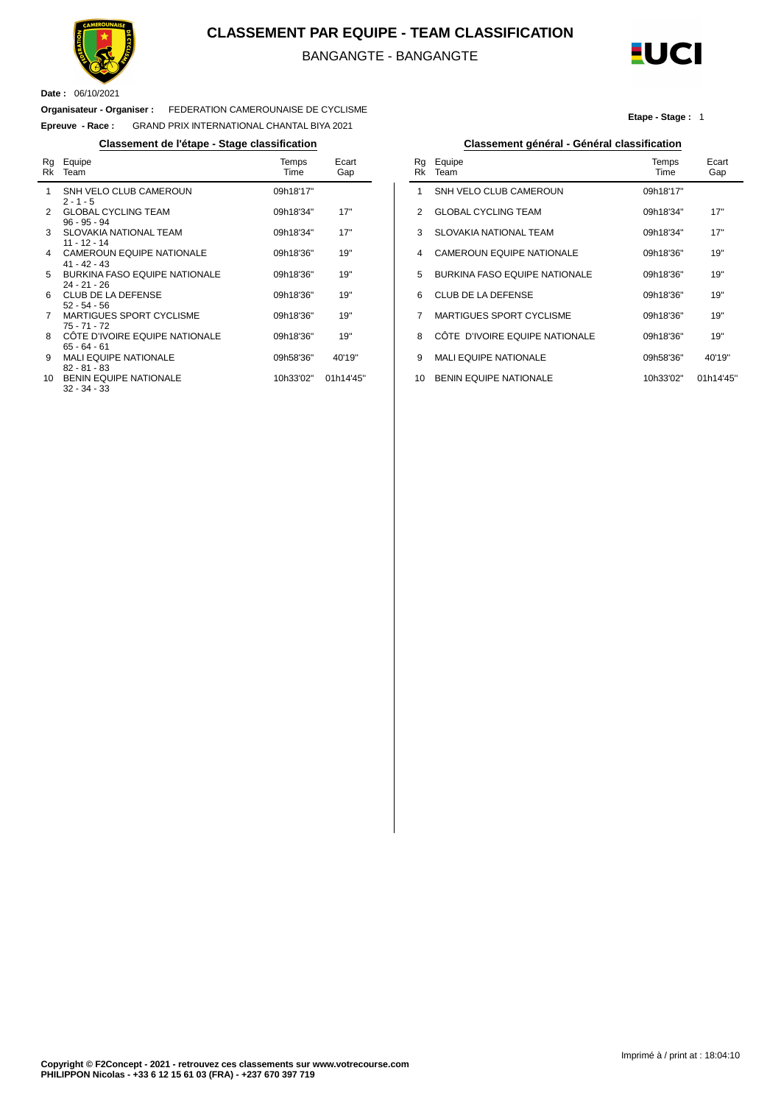

#### **CLASSEMENT PAR EQUIPE - TEAM CLASSIFICATION**

BANGANGTE - BANGANGTE

Ĭ.



**Etape - Stage :** 1

**Date :** 06/10/2021

 $\overline{a}$ 

#### **Organisateur - Organiser :** FEDERATION CAMEROUNAISE DE CYCLISME

**Epreuve - Race :** GRAND PRIX INTERNATIONAL CHANTAL BIYA 2021

#### **Classement de l'étape - Stage classification Classement général - Général classification**

| Rg<br>Rk       | Equipe<br>Team                                         | Temps<br>Time | Ecart<br>Gap |
|----------------|--------------------------------------------------------|---------------|--------------|
| 1              | SNH VELO CLUB CAMEROUN<br>$2 - 1 - 5$                  | 09h18'17"     |              |
| 2              | <b>GLOBAL CYCLING TEAM</b><br>$96 - 95 - 94$           | 09h18'34"     | 17"          |
| 3              | <b>SLOVAKIA NATIONAL TEAM</b><br>$11 - 12 - 14$        | 09h18'34"     | 17"          |
| 4              | CAMEROUN EQUIPE NATIONALE<br>$41 - 42 - 43$            | 09h18'36"     | 19"          |
| 5              | <b>BURKINA FASO EQUIPE NATIONALE</b><br>$24 - 21 - 26$ | 09h18'36"     | 19"          |
| 6              | CLUB DE LA DEFENSE<br>$52 - 54 - 56$                   | 09h18'36"     | 19"          |
| $\overline{7}$ | <b>MARTIGUES SPORT CYCLISME</b><br>$75 - 71 - 72$      | 09h18'36"     | 19"          |
| 8              | CÔTE D'IVOIRE EQUIPE NATIONALE<br>$65 - 64 - 61$       | 09h18'36"     | 19"          |
| 9              | <b>MALI EQUIPE NATIONALE</b><br>$82 - 81 - 83$         | 09h58'36"     | 40'19"       |
| 10             | <b>BENIN EQUIPE NATIONALE</b><br>32 - 34 - 33          | 10h33'02"     | 01h14'45"    |

| Rq<br>Rk | Equipe<br>Team                       | Temps<br>Time | Ecart<br>Gap |
|----------|--------------------------------------|---------------|--------------|
| 1        | SNH VELO CLUB CAMEROUN               | 09h18'17"     |              |
| 2        | <b>GLOBAL CYCLING TEAM</b>           | 09h18'34"     | 17"          |
| 3        | <b>SLOVAKIA NATIONAL TEAM</b>        | 09h18'34"     | 17"          |
| 4        | <b>CAMEROUN EQUIPE NATIONALE</b>     | 09h18'36"     | 19"          |
| 5        | <b>BURKINA FASO EQUIPE NATIONALE</b> | 09h18'36"     | 19"          |
| 6        | CLUB DE LA DEFENSE                   | 09h18'36"     | 19"          |
| 7        | <b>MARTIGUES SPORT CYCLISME</b>      | 09h18'36"     | 19"          |
| 8        | CÔTE D'IVOIRE EQUIPE NATIONALE       | 09h18'36"     | 19"          |
| 9        | <b>MALI EQUIPE NATIONALE</b>         | 09h58'36"     | 40'19"       |
| 10       | <b>BENIN EQUIPE NATIONALE</b>        | 10h33'02"     | 01h14'45"    |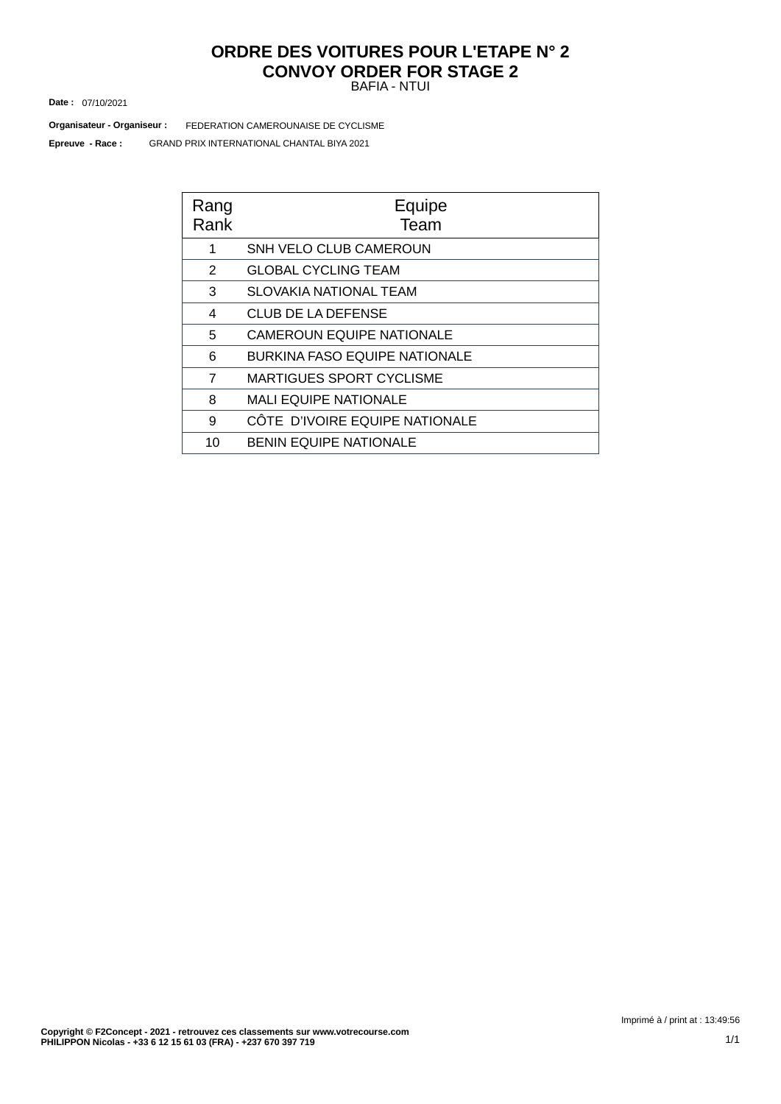#### BAFIA - NTUI **ORDRE DES VOITURES POUR L'ETAPE N° 2 CONVOY ORDER FOR STAGE 2**

07/10/2021 **Date :**

GRAND PRIX INTERNATIONAL CHANTAL BIYA 2021 FEDERATION CAMEROUNAISE DE CYCLISME **Organisateur - Organiseur : Epreuve - Race :**

| Rang<br>Rank | Equipe<br>Team                       |
|--------------|--------------------------------------|
| 1            | SNH VELO CLUB CAMEROUN               |
| 2            | <b>GLOBAL CYCLING TEAM</b>           |
| 3            | <b>SLOVAKIA NATIONAL TEAM</b>        |
| 4            | CLUB DE LA DEFENSE                   |
| 5            | <b>CAMEROUN EQUIPE NATIONALE</b>     |
| 6            | <b>BURKINA FASO EQUIPE NATIONALE</b> |
| 7            | <b>MARTIGUES SPORT CYCLISME</b>      |
| 8            | <b>MALI EQUIPE NATIONALE</b>         |
| 9            | CÔTE D'IVOIRE EQUIPE NATIONALE       |
| 10           | <b>BENIN EQUIPE NATIONALE</b>        |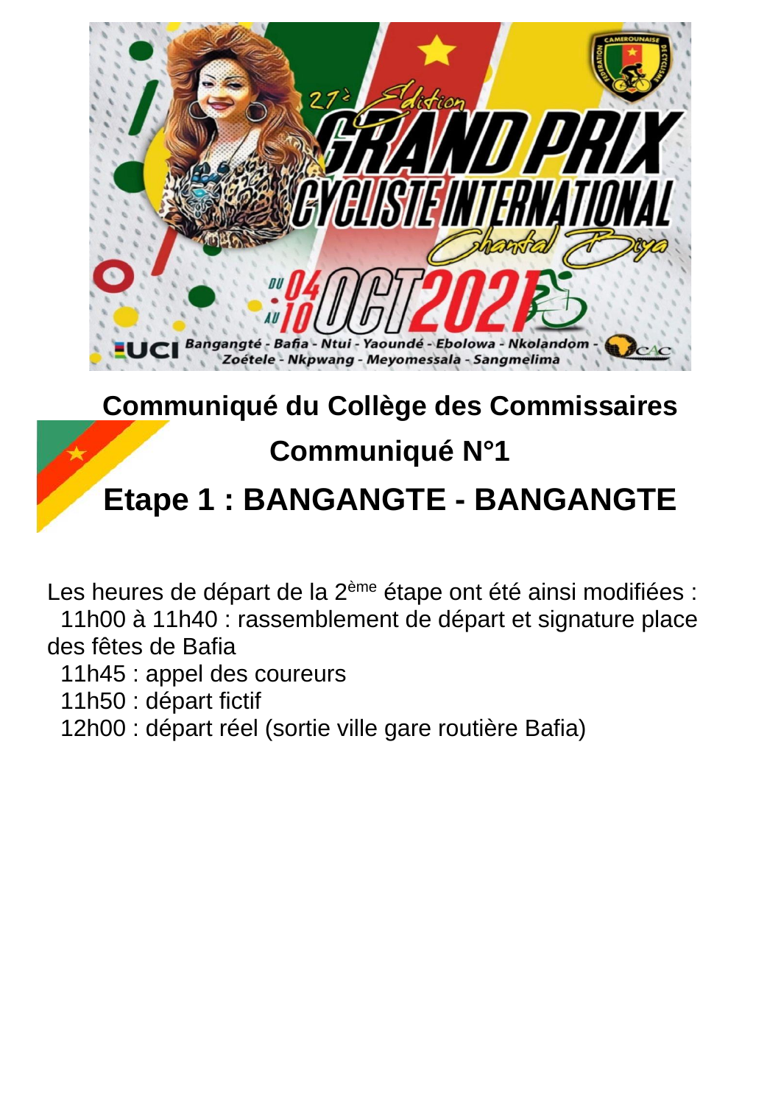

# **Communiqué du Collège des Commissaires**

### **Communiqué N°1**

## **Etape 1 : BANGANGTE - BANGANGTE**

Les heures de départ de la 2<sup>ème</sup> étape ont été ainsi modifiées : 11h00 à 11h40 : rassemblement de départ et signature place des fêtes de Bafia

11h45 : appel des coureurs

11h50 : départ fictif

12h00 : départ réel (sortie ville gare routière Bafia)